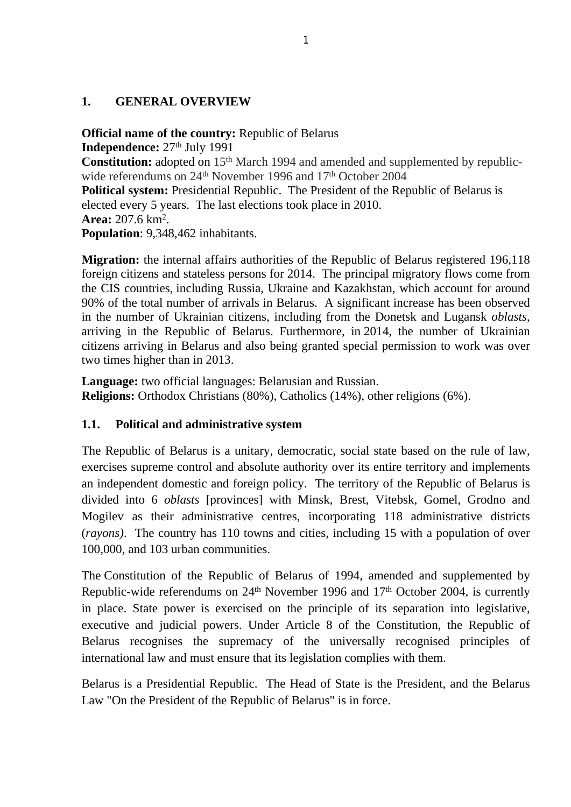## **1. GENERAL OVERVIEW**

**Official name of the country:** Republic of Belarus

**Independence:**  $27<sup>th</sup>$  July 1991

**Constitution:** adopted on 15<sup>th</sup> March 1994 and amended and supplemented by republicwide referendums on 24<sup>th</sup> November 1996 and 17<sup>th</sup> October 2004

**Political system:** Presidential Republic. The President of the Republic of Belarus is elected every 5 years. The last elections took place in 2010. **Area:** 207.6 km<sup>2</sup> .

**Population**: 9,348,462 inhabitants.

**Migration:** the internal affairs authorities of the Republic of Belarus registered 196,118 foreign citizens and stateless persons for 2014. The principal migratory flows come from the CIS countries, including Russia, Ukraine and Kazakhstan, which account for around 90% of the total number of arrivals in Belarus. A significant increase has been observed in the number of Ukrainian citizens, including from the Donetsk and Lugansk *oblasts*, arriving in the Republic of Belarus. Furthermore, in 2014, the number of Ukrainian citizens arriving in Belarus and also being granted special permission to work was over two times higher than in 2013.

**Language:** two official languages: Belarusian and Russian. **Religions:** Orthodox Christians (80%), Catholics (14%), other religions (6%).

# **1.1. Political and administrative system**

The Republic of Belarus is a unitary, democratic, social state based on the rule of law, exercises supreme control and absolute authority over its entire territory and implements an independent domestic and foreign policy. The territory of the Republic of Belarus is divided into 6 *oblasts* [provinces] with Minsk, Brest, Vitebsk, Gomel, Grodno and Mogilev as their administrative centres, incorporating 118 administrative districts (*rayons)*. The country has 110 towns and cities, including 15 with a population of over 100,000, and 103 urban communities.

The Constitution of the Republic of Belarus of 1994, amended and supplemented by Republic-wide referendums on  $24<sup>th</sup>$  November 1996 and  $17<sup>th</sup>$  October 2004, is currently in place. State power is exercised on the principle of its separation into legislative, executive and judicial powers. Under Article 8 of the Constitution, the Republic of Belarus recognises the supremacy of the universally recognised principles of international law and must ensure that its legislation complies with them.

Belarus is a Presidential Republic. The Head of State is the President, and the Belarus Law "On the President of the Republic of Belarus" is in force.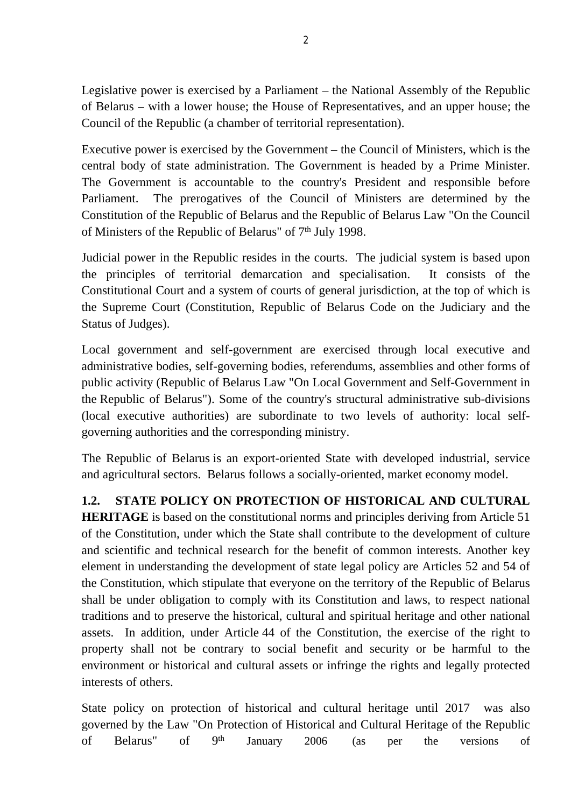Legislative power is exercised by a Parliament – the National Assembly of the Republic of Belarus – with a lower house; the House of Representatives, and an upper house; the Council of the Republic (a chamber of territorial representation).

Executive power is exercised by the Government – the Council of Ministers, which is the central body of state administration. The Government is headed by a Prime Minister. The Government is accountable to the country's President and responsible before Parliament. The prerogatives of the Council of Ministers are determined by the Constitution of the Republic of Belarus and the Republic of Belarus Law "On the Council of Ministers of the Republic of Belarus" of 7<sup>th</sup> July 1998.

Judicial power in the Republic resides in the courts. The judicial system is based upon the principles of territorial demarcation and specialisation. It consists of the Constitutional Court and a system of courts of general jurisdiction, at the top of which is the Supreme Court (Constitution, Republic of Belarus Code on the Judiciary and the Status of Judges).

Local government and self-government are exercised through local executive and administrative bodies, self-governing bodies, referendums, assemblies and other forms of public activity (Republic of Belarus Law "On Local Government and Self-Government in the Republic of Belarus"). Some of the country's structural administrative sub-divisions (local executive authorities) are subordinate to two levels of authority: local selfgoverning authorities and the corresponding ministry.

The Republic of Belarus is an export-oriented State with developed industrial, service and agricultural sectors. Belarus follows a socially-oriented, market economy model.

**1.2. STATE POLICY ON PROTECTION OF HISTORICAL AND CULTURAL** 

**HERITAGE** is based on the constitutional norms and principles deriving from Article 51 of the Constitution, under which the State shall contribute to the development of culture and scientific and technical research for the benefit of common interests. Another key element in understanding the development of state legal policy are Articles 52 and 54 of the Constitution, which stipulate that everyone on the territory of the Republic of Belarus shall be under obligation to comply with its Constitution and laws, to respect national traditions and to preserve the historical, cultural and spiritual heritage and other national assets. In addition, under Article 44 of the Constitution, the exercise of the right to property shall not be contrary to social benefit and security or be harmful to the environment or historical and cultural assets or infringe the rights and legally protected interests of others.

State policy on protection of historical and cultural heritage until 2017 was also governed by the Law "On Protection of Historical and Cultural Heritage of the Republic of Belarus" of 9<sup>th</sup> January 2006 (as per the versions of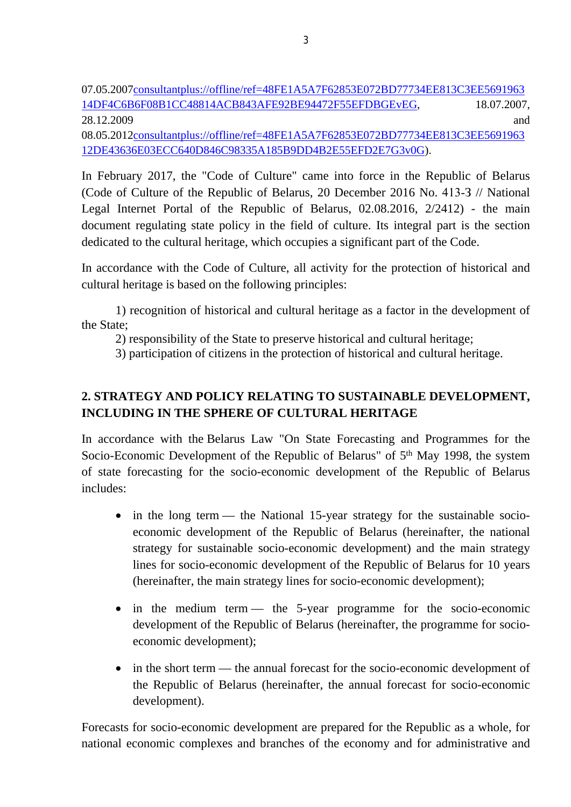07.05.200[7consultantplus://offline/ref=48FE1A5A7F62853E072BD77734EE813C3EE5691963](consultantplus://offline/ref=48FE1A5A7F62853E072BD77734EE813C3EE569196314DF4C6B6F08B1CC48814ACB843AFE92BE94472F55EFDBGEvEG) [14DF4C6B6F08B1CC48814ACB843AFE92BE94472F55EFDBGEvEG](consultantplus://offline/ref=48FE1A5A7F62853E072BD77734EE813C3EE569196314DF4C6B6F08B1CC48814ACB843AFE92BE94472F55EFDBGEvEG), 18.07.2007, 28.12.2009 and

08.05.201[2consultantplus://offline/ref=48FE1A5A7F62853E072BD77734EE813C3EE5691963](consultantplus://offline/ref=48FE1A5A7F62853E072BD77734EE813C3EE569196312DE43636E03ECC640D846C98335A185B9DD4B2E55EFD2E7G3v0G) [12DE43636E03ECC640D846C98335A185B9DD4B2E55EFD2E7G3v0G](consultantplus://offline/ref=48FE1A5A7F62853E072BD77734EE813C3EE569196312DE43636E03ECC640D846C98335A185B9DD4B2E55EFD2E7G3v0G)).

In February 2017, the "Code of Culture" came into force in the Republic of Belarus (Code of Culture of the Republic of Belarus, 20 December 2016 No. 413-З // National Legal Internet Portal of the Republic of Belarus, 02.08.2016, 2/2412) - the main document regulating state policy in the field of culture. Its integral part is the section dedicated to the cultural heritage, which occupies a significant part of the Code.

In accordance with the Code of Culture, all activity for the protection of historical and cultural heritage is based on the following principles:

1) recognition of historical and cultural heritage as a factor in the development of the State;

2) responsibility of the State to preserve historical and cultural heritage;

3) participation of citizens in the protection of historical and cultural heritage.

# **2. STRATEGY AND POLICY RELATING TO SUSTAINABLE DEVELOPMENT, INCLUDING IN THE SPHERE OF CULTURAL HERITAGE**

In accordance with the Belarus Law "On State Forecasting and Programmes for the Socio-Economic Development of the Republic of Belarus" of 5th May 1998, the system of state forecasting for the socio-economic development of the Republic of Belarus includes:

- in the long term the National 15-year strategy for the sustainable socioeconomic development of the Republic of Belarus (hereinafter, the national strategy for sustainable socio-economic development) and the main strategy lines for socio-economic development of the Republic of Belarus for 10 years (hereinafter, the main strategy lines for socio-economic development);
- in the medium term the 5-year programme for the socio-economic development of the Republic of Belarus (hereinafter, the programme for socioeconomic development);
- in the short term the annual forecast for the socio-economic development of the Republic of Belarus (hereinafter, the annual forecast for socio-economic development).

Forecasts for socio-economic development are prepared for the Republic as a whole, for national economic complexes and branches of the economy and for administrative and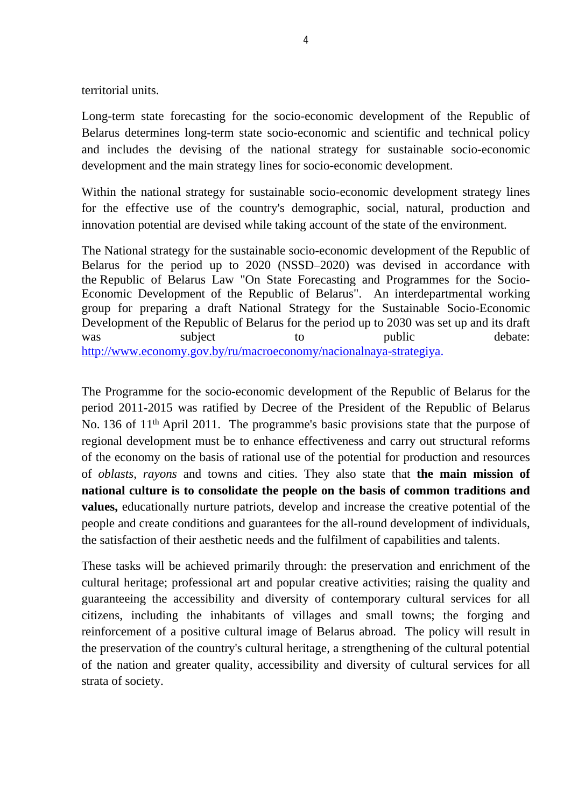territorial units.

Long-term state forecasting for the socio-economic development of the Republic of Belarus determines long-term state socio-economic and scientific and technical policy and includes the devising of the national strategy for sustainable socio-economic development and the main strategy lines for socio-economic development.

Within the national strategy for sustainable socio-economic development strategy lines for the effective use of the country's demographic, social, natural, production and innovation potential are devised while taking account of the state of the environment.

The National strategy for the sustainable socio-economic development of the Republic of Belarus for the period up to 2020 (NSSD–2020) was devised in accordance with the Republic of Belarus Law "On State Forecasting and Programmes for the Socio-Economic Development of the Republic of Belarus". An interdepartmental working group for preparing a draft National Strategy for the Sustainable Socio-Economic Development of the Republic of Belarus for the period up to 2030 was set up and its draft was subject to public debate: <http://www.economy.gov.by/ru/macroeconomy/nacionalnaya-strategiya>.

The Programme for the socio-economic development of the Republic of Belarus for the period 2011-2015 was ratified by Decree of the President of the Republic of Belarus No. 136 of 11th April 2011. The programme's basic provisions state that the purpose of regional development must be to enhance effectiveness and carry out structural reforms of the economy on the basis of rational use of the potential for production and resources of *oblasts*, *rayons* and towns and cities. They also state that **the main mission of national culture is to consolidate the people on the basis of common traditions and values,** educationally nurture patriots, develop and increase the creative potential of the people and create conditions and guarantees for the all-round development of individuals, the satisfaction of their aesthetic needs and the fulfilment of capabilities and talents.

These tasks will be achieved primarily through: the preservation and enrichment of the cultural heritage; professional art and popular creative activities; raising the quality and guaranteeing the accessibility and diversity of contemporary cultural services for all citizens, including the inhabitants of villages and small towns; the forging and reinforcement of a positive cultural image of Belarus abroad. The policy will result in the preservation of the country's cultural heritage, a strengthening of the cultural potential of the nation and greater quality, accessibility and diversity of cultural services for all strata of society.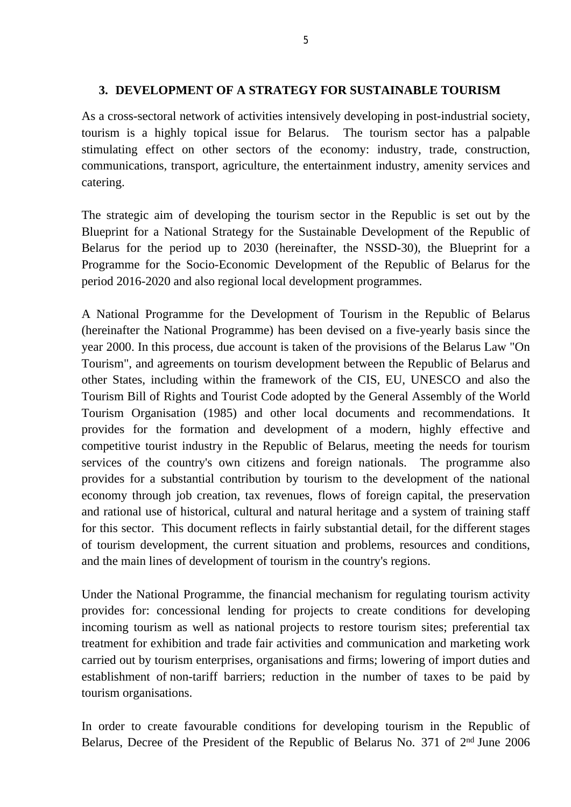### **3. DEVELOPMENT OF A STRATEGY FOR SUSTAINABLE TOURISM**

As a cross-sectoral network of activities intensively developing in post-industrial society, tourism is a highly topical issue for Belarus. The tourism sector has a palpable stimulating effect on other sectors of the economy: industry, trade, construction, communications, transport, agriculture, the entertainment industry, amenity services and catering.

The strategic aim of developing the tourism sector in the Republic is set out by the Blueprint for a National Strategy for the Sustainable Development of the Republic of Belarus for the period up to 2030 (hereinafter, the NSSD-30), the Blueprint for a Programme for the Socio-Economic Development of the Republic of Belarus for the period 2016-2020 and also regional local development programmes.

A National Programme for the Development of Tourism in the Republic of Belarus (hereinafter the National Programme) has been devised on a five-yearly basis since the year 2000. In this process, due account is taken of the provisions of the Belarus Law "On Tourism", and agreements on tourism development between the Republic of Belarus and other States, including within the framework of the CIS, EU, UNESCO and also the Tourism Bill of Rights and Tourist Code adopted by the General Assembly of the World Tourism Organisation (1985) and other local documents and recommendations. It provides for the formation and development of a modern, highly effective and competitive tourist industry in the Republic of Belarus, meeting the needs for tourism services of the country's own citizens and foreign nationals. The programme also provides for a substantial contribution by tourism to the development of the national economy through job creation, tax revenues, flows of foreign capital, the preservation and rational use of historical, cultural and natural heritage and a system of training staff for this sector. This document reflects in fairly substantial detail, for the different stages of tourism development, the current situation and problems, resources and conditions, and the main lines of development of tourism in the country's regions.

Under the National Programme, the financial mechanism for regulating tourism activity provides for: concessional lending for projects to create conditions for developing incoming tourism as well as national projects to restore tourism sites; preferential tax treatment for exhibition and trade fair activities and communication and marketing work carried out by tourism enterprises, organisations and firms; lowering of import duties and establishment of non-tariff barriers; reduction in the number of taxes to be paid by tourism organisations.

In order to create favourable conditions for developing tourism in the Republic of Belarus, Decree of the President of the Republic of Belarus No. 371 of 2nd June 2006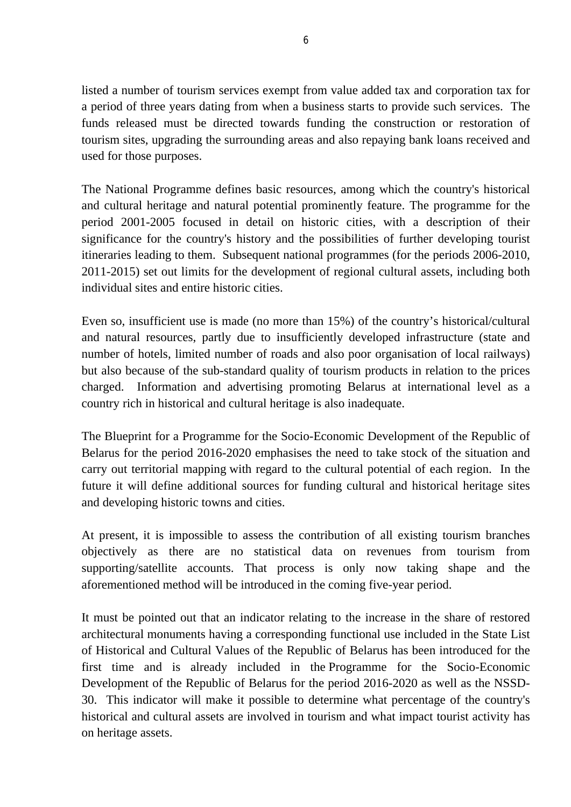listed a number of tourism services exempt from value added tax and corporation tax for a period of three years dating from when a business starts to provide such services. The funds released must be directed towards funding the construction or restoration of tourism sites, upgrading the surrounding areas and also repaying bank loans received and used for those purposes.

The National Programme defines basic resources, among which the country's historical and cultural heritage and natural potential prominently feature. The programme for the period 2001-2005 focused in detail on historic cities, with a description of their significance for the country's history and the possibilities of further developing tourist itineraries leading to them. Subsequent national programmes (for the periods 2006-2010, 2011-2015) set out limits for the development of regional cultural assets, including both individual sites and entire historic cities.

Even so, insufficient use is made (no more than 15%) of the country's historical/cultural and natural resources, partly due to insufficiently developed infrastructure (state and number of hotels, limited number of roads and also poor organisation of local railways) but also because of the sub-standard quality of tourism products in relation to the prices charged. Information and advertising promoting Belarus at international level as a country rich in historical and cultural heritage is also inadequate.

The Blueprint for a Programme for the Socio-Economic Development of the Republic of Belarus for the period 2016-2020 emphasises the need to take stock of the situation and carry out territorial mapping with regard to the cultural potential of each region. In the future it will define additional sources for funding cultural and historical heritage sites and developing historic towns and cities.

At present, it is impossible to assess the contribution of all existing tourism branches objectively as there are no statistical data on revenues from tourism from supporting/satellite accounts. That process is only now taking shape and the aforementioned method will be introduced in the coming five-year period.

It must be pointed out that an indicator relating to the increase in the share of restored architectural monuments having a corresponding functional use included in the State List of Historical and Cultural Values of the Republic of Belarus has been introduced for the first time and is already included in the Programme for the Socio-Economic Development of the Republic of Belarus for the period 2016-2020 as well as the NSSD-30. This indicator will make it possible to determine what percentage of the country's historical and cultural assets are involved in tourism and what impact tourist activity has on heritage assets.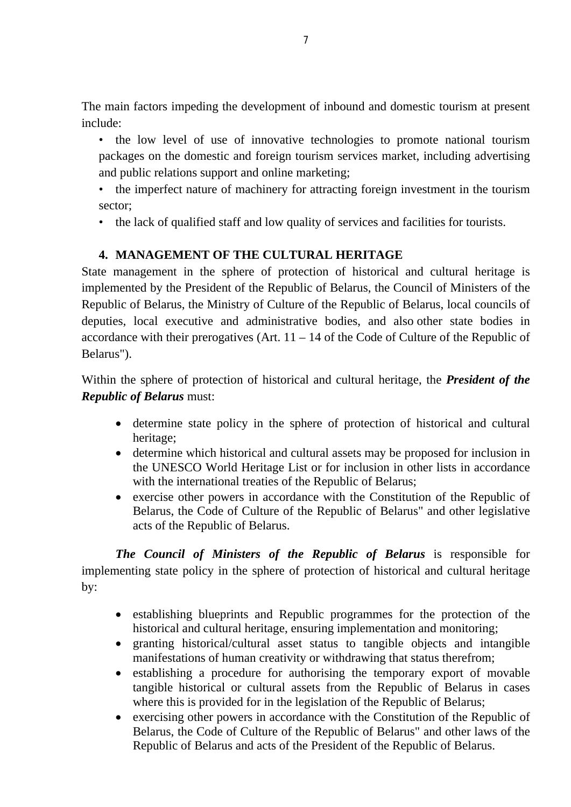The main factors impeding the development of inbound and domestic tourism at present include:

• the low level of use of innovative technologies to promote national tourism packages on the domestic and foreign tourism services market, including advertising and public relations support and online marketing;

- the imperfect nature of machinery for attracting foreign investment in the tourism sector;
- the lack of qualified staff and low quality of services and facilities for tourists.

## **4. MANAGEMENT OF THE CULTURAL HERITAGE**

State management in the sphere of protection of historical and cultural heritage is implemented by the President of the Republic of Belarus, the Council of Ministers of the Republic of Belarus, the Ministry of Culture of the Republic of Belarus, local councils of deputies, local executive and administrative bodies, and also other state bodies in accordance with their prerogatives (Art.  $11 - 14$  of the Code of Culture of the Republic of Belarus").

Within the sphere of protection of historical and cultural heritage, the *President of the Republic of Belarus* must:

- determine state policy in the sphere of protection of historical and cultural heritage;
- determine which historical and cultural assets may be proposed for inclusion in the UNESCO World Heritage List or for inclusion in other lists in accordance with the international treaties of the Republic of Belarus;
- exercise other powers in accordance with the Constitution of the Republic of Belarus, the Code of Culture of the Republic of Belarus" and other legislative acts of the Republic of Belarus.

*The Council of Ministers of the Republic of Belarus* is responsible for implementing state policy in the sphere of protection of historical and cultural heritage by:

- establishing blueprints and Republic programmes for the protection of the historical and cultural heritage, ensuring implementation and monitoring;
- granting historical/cultural asset status to tangible objects and intangible manifestations of human creativity or withdrawing that status therefrom;
- establishing a procedure for authorising the temporary export of movable tangible historical or cultural assets from the Republic of Belarus in cases where this is provided for in the legislation of the Republic of Belarus;
- exercising other powers in accordance with the Constitution of the Republic of Belarus, the Code of Culture of the Republic of Belarus" and other laws of the Republic of Belarus and acts of the President of the Republic of Belarus.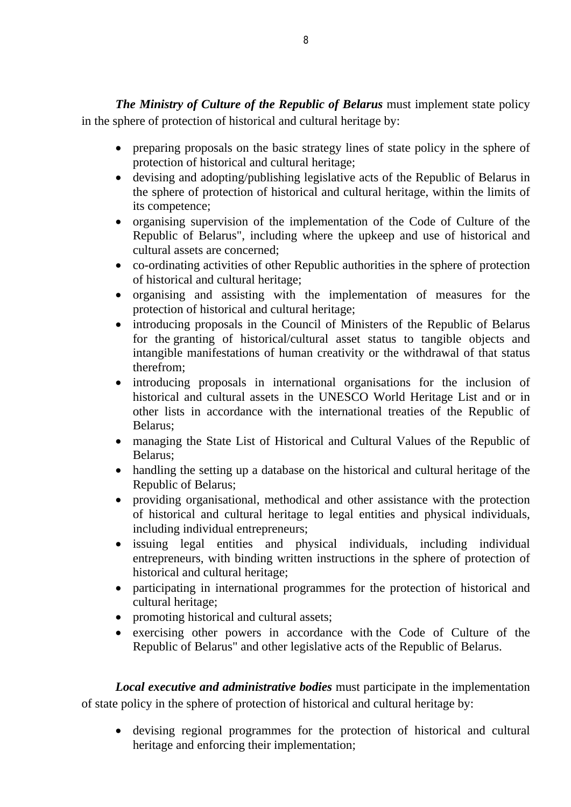*The Ministry of Culture of the Republic of Belarus* must implement state policy in the sphere of protection of historical and cultural heritage by:

- preparing proposals on the basic strategy lines of state policy in the sphere of protection of historical and cultural heritage;
- devising and adopting/publishing legislative acts of the Republic of Belarus in the sphere of protection of historical and cultural heritage, within the limits of its competence;
- organising supervision of the implementation of the Code of Culture of the Republic of Belarus", including where the upkeep and use of historical and cultural assets are concerned;
- co-ordinating activities of other Republic authorities in the sphere of protection of historical and cultural heritage;
- organising and assisting with the implementation of measures for the protection of historical and cultural heritage;
- introducing proposals in the Council of Ministers of the Republic of Belarus for the granting of historical/cultural asset status to tangible objects and intangible manifestations of human creativity or the withdrawal of that status therefrom;
- introducing proposals in international organisations for the inclusion of historical and cultural assets in the UNESCO World Heritage List and or in other lists in accordance with the international treaties of the Republic of Belarus;
- managing the State List of Historical and Cultural Values of the Republic of Belarus;
- handling the setting up a database on the historical and cultural heritage of the Republic of Belarus;
- providing organisational, methodical and other assistance with the protection of historical and cultural heritage to legal entities and physical individuals, including individual entrepreneurs;
- issuing legal entities and physical individuals, including individual entrepreneurs, with binding written instructions in the sphere of protection of historical and cultural heritage;
- participating in international programmes for the protection of historical and cultural heritage;
- promoting historical and cultural assets;
- exercising other powers in accordance with the Code of Culture of the Republic of Belarus" and other legislative acts of the Republic of Belarus.

*Local executive and administrative bodies* must participate in the implementation of state policy in the sphere of protection of historical and cultural heritage by:

 devising regional programmes for the protection of historical and cultural heritage and enforcing their implementation;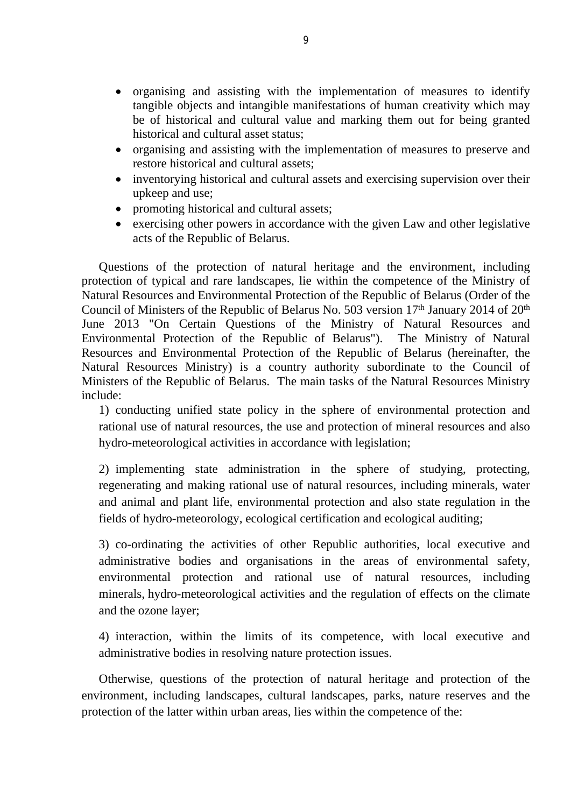- organising and assisting with the implementation of measures to identify tangible objects and intangible manifestations of human creativity which may be of historical and cultural value and marking them out for being granted historical and cultural asset status;
- organising and assisting with the implementation of measures to preserve and restore historical and cultural assets;
- inventorying historical and cultural assets and exercising supervision over their upkeep and use;
- promoting historical and cultural assets;
- exercising other powers in accordance with the given Law and other legislative acts of the Republic of Belarus.

Questions of the protection of natural heritage and the environment, including protection of typical and rare landscapes, lie within the competence of the Ministry of Natural Resources and Environmental Protection of the Republic of Belarus (Order of the Council of Ministers of the Republic of Belarus No. 503 version 17<sup>th</sup> January 2014 of 20<sup>th</sup> June 2013 "On Certain Questions of the Ministry of Natural Resources and Environmental Protection of the Republic of Belarus"). The Ministry of Natural Resources and Environmental Protection of the Republic of Belarus (hereinafter, the Natural Resources Ministry) is a country authority subordinate to the Council of Ministers of the Republic of Belarus. The main tasks of the Natural Resources Ministry include:

1) conducting unified state policy in the sphere of environmental protection and rational use of natural resources, the use and protection of mineral resources and also hydro-meteorological activities in accordance with legislation;

2) implementing state administration in the sphere of studying, protecting, regenerating and making rational use of natural resources, including minerals, water and animal and plant life, environmental protection and also state regulation in the fields of hydro-meteorology, ecological certification and ecological auditing;

3) co-ordinating the activities of other Republic authorities, local executive and administrative bodies and organisations in the areas of environmental safety, environmental protection and rational use of natural resources, including minerals, hydro-meteorological activities and the regulation of effects on the climate and the ozone layer;

4) interaction, within the limits of its competence, with local executive and administrative bodies in resolving nature protection issues.

Otherwise, questions of the protection of natural heritage and protection of the environment, including landscapes, cultural landscapes, parks, nature reserves and the protection of the latter within urban areas, lies within the competence of the: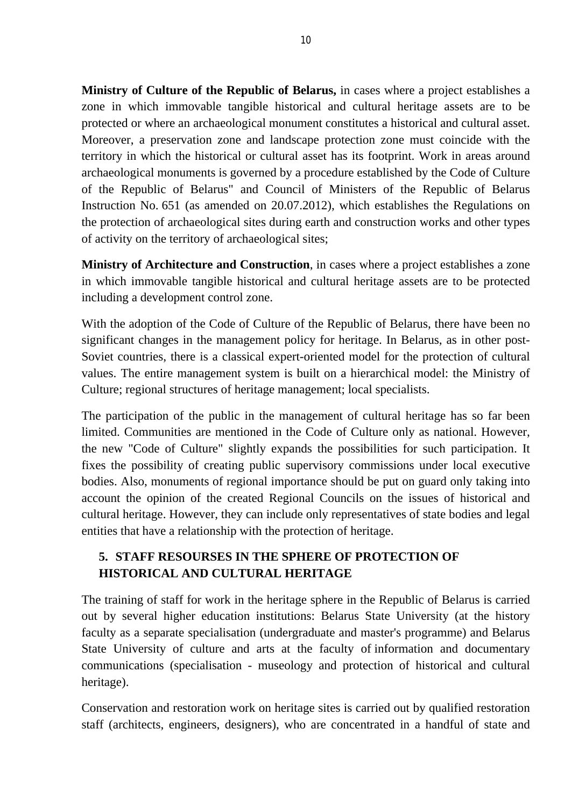**Ministry of Culture of the Republic of Belarus,** in cases where a project establishes a zone in which immovable tangible historical and cultural heritage assets are to be protected or where an archaeological monument constitutes a historical and cultural asset. Moreover, a preservation zone and landscape protection zone must coincide with the territory in which the historical or cultural asset has its footprint. Work in areas around archaeological monuments is governed by a procedure established by the Code of Culture of the Republic of Belarus" and Council of Ministers of the Republic of Belarus Instruction No. 651 (as amended on 20.07.2012), which establishes the Regulations on the protection of archaeological sites during earth and construction works and other types of activity on the territory of archaeological sites;

**Ministry of Architecture and Construction**, in cases where a project establishes a zone in which immovable tangible historical and cultural heritage assets are to be protected including a development control zone.

With the adoption of the Code of Culture of the Republic of Belarus, there have been no significant changes in the management policy for heritage. In Belarus, as in other post-Soviet countries, there is a classical expert-oriented model for the protection of cultural values. The entire management system is built on a hierarchical model: the Ministry of Culture; regional structures of heritage management; local specialists.

The participation of the public in the management of cultural heritage has so far been limited. Communities are mentioned in the Code of Culture only as national. However, the new "Code of Culture" slightly expands the possibilities for such participation. It fixes the possibility of creating public supervisory commissions under local executive bodies. Also, monuments of regional importance should be put on guard only taking into account the opinion of the created Regional Councils on the issues of historical and cultural heritage. However, they can include only representatives of state bodies and legal entities that have a relationship with the protection of heritage.

# **5. STAFF RESOURSES IN THE SPHERE OF PROTECTION OF HISTORICAL AND CULTURAL HERITAGE**

The training of staff for work in the heritage sphere in the Republic of Belarus is carried out by several higher education institutions: Belarus State University (at the history faculty as a separate specialisation (undergraduate and master's programme) and Belarus State University of culture and arts at the faculty of information and documentary communications (specialisation - museology and protection of historical and cultural heritage).

Conservation and restoration work on heritage sites is carried out by qualified restoration staff (architects, engineers, designers), who are concentrated in a handful of state and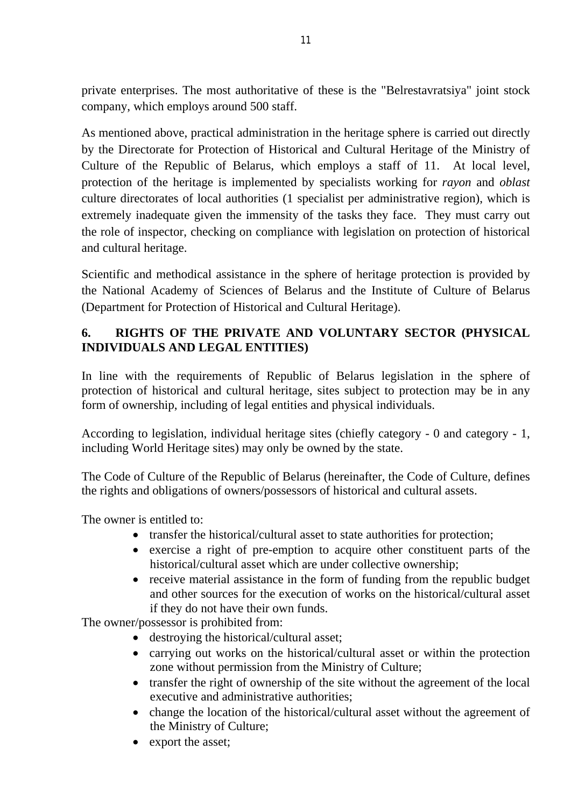private enterprises. The most authoritative of these is the "Belrestavratsiya" joint stock company, which employs around 500 staff.

As mentioned above, practical administration in the heritage sphere is carried out directly by the Directorate for Protection of Historical and Cultural Heritage of the Ministry of Culture of the Republic of Belarus, which employs a staff of 11. At local level, protection of the heritage is implemented by specialists working for *rayon* and *oblast* culture directorates of local authorities (1 specialist per administrative region), which is extremely inadequate given the immensity of the tasks they face. They must carry out the role of inspector, checking on compliance with legislation on protection of historical and cultural heritage.

Scientific and methodical assistance in the sphere of heritage protection is provided by the National Academy of Sciences of Belarus and the Institute of Culture of Belarus (Department for Protection of Historical and Cultural Heritage).

# **6. RIGHTS OF THE PRIVATE AND VOLUNTARY SECTOR (PHYSICAL INDIVIDUALS AND LEGAL ENTITIES)**

In line with the requirements of Republic of Belarus legislation in the sphere of protection of historical and cultural heritage, sites subject to protection may be in any form of ownership, including of legal entities and physical individuals.

According to legislation, individual heritage sites (chiefly category - 0 and category - 1, including World Heritage sites) may only be owned by the state.

The Code of Culture of the Republic of Belarus (hereinafter, the Code of Culture, defines the rights and obligations of owners/possessors of historical and cultural assets.

The owner is entitled to:

- transfer the historical/cultural asset to state authorities for protection;
- exercise a right of pre-emption to acquire other constituent parts of the historical/cultural asset which are under collective ownership;
- receive material assistance in the form of funding from the republic budget and other sources for the execution of works on the historical/cultural asset if they do not have their own funds.

The owner/possessor is prohibited from:

- destroying the historical/cultural asset;
- carrying out works on the historical/cultural asset or within the protection zone without permission from the Ministry of Culture;
- transfer the right of ownership of the site without the agreement of the local executive and administrative authorities;
- change the location of the historical/cultural asset without the agreement of the Ministry of Culture;
- export the asset;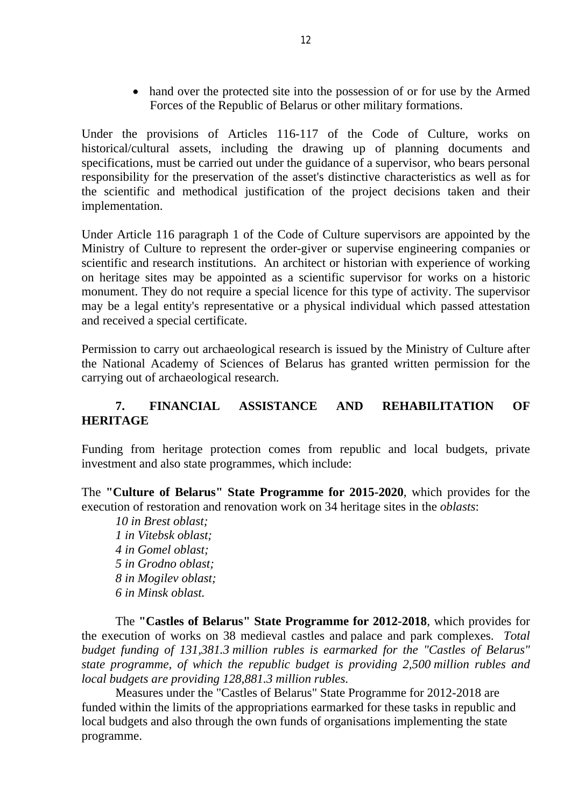• hand over the protected site into the possession of or for use by the Armed Forces of the Republic of Belarus or other military formations.

Under the provisions of Articles 116-117 of the Code of Culture, works on historical/cultural assets, including the drawing up of planning documents and specifications, must be carried out under the guidance of a supervisor, who bears personal responsibility for the preservation of the asset's distinctive characteristics as well as for the scientific and methodical justification of the project decisions taken and their implementation.

Under Article 116 paragraph 1 of the Code of Culture supervisors are appointed by the Ministry of Culture to represent the order-giver or supervise engineering companies or scientific and research institutions. An architect or historian with experience of working on heritage sites may be appointed as a scientific supervisor for works on a historic monument. They do not require a special licence for this type of activity. The supervisor may be a legal entity's representative or a physical individual which passed attestation and received a special certificate.

Permission to carry out archaeological research is issued by the Ministry of Culture after the National Academy of Sciences of Belarus has granted written permission for the carrying out of archaeological research.

## **7. FINANCIAL ASSISTANCE AND REHABILITATION OF HERITAGE**

Funding from heritage protection comes from republic and local budgets, private investment and also state programmes, which include:

The **"Culture of Belarus" State Programme for 2015-2020**, which provides for the execution of restoration and renovation work on 34 heritage sites in the *oblasts*:

*10 in Brest oblast; in Vitebsk oblast; in Gomel oblast; 5 in Grodno oblast; in Mogilev oblast; in Minsk oblast.*

The **"Castles of Belarus" State Programme for 2012-2018**, which provides for the execution of works on 38 medieval castles and palace and park complexes. *Total budget funding of 131,381.3 million rubles is earmarked for the "Castles of Belarus" state programme, of which the republic budget is providing 2,500 million rubles and local budgets are providing 128,881.3 million rubles.*

Measures under the "Castles of Belarus" State Programme for 2012-2018 are funded within the limits of the appropriations earmarked for these tasks in republic and local budgets and also through the own funds of organisations implementing the state programme.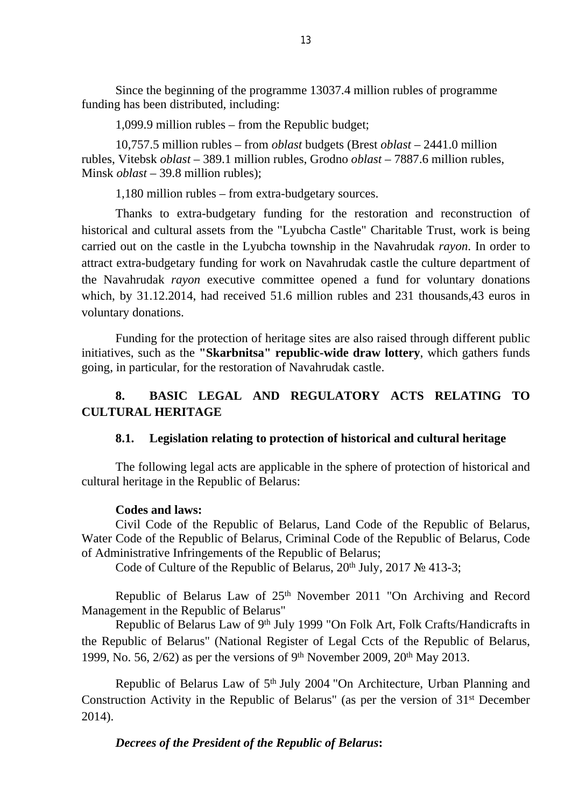Since the beginning of the programme 13037.4 million rubles of programme funding has been distributed, including:

1,099.9 million rubles – from the Republic budget;

10,757.5 million rubles – from *oblast* budgets (Brest *oblast* – 2441.0 million rubles, Vitebsk *oblast* – 389.1 million rubles, Grodno *oblast* – 7887.6 million rubles, Minsk *oblast* – 39.8 million rubles);

1,180 million rubles – from extra-budgetary sources.

Thanks to extra-budgetary funding for the restoration and reconstruction of historical and cultural assets from the "Lyubcha Castle" Charitable Trust, work is being carried out on the castle in the Lyubcha township in the Navahrudak *rayon*. In order to attract extra-budgetary funding for work on Navahrudak castle the culture department of the Navahrudak *rayon* executive committee opened a fund for voluntary donations which, by 31.12.2014, had received 51.6 million rubles and 231 thousands,43 euros in voluntary donations.

Funding for the protection of heritage sites are also raised through different public initiatives, such as the **"Skarbnitsa" republic-wide draw lottery**, which gathers funds going, in particular, for the restoration of Navahrudak castle.

# **8. BASIC LEGAL AND REGULATORY ACTS RELATING TO CULTURAL HERITAGE**

#### **8.1. Legislation relating to protection of historical and cultural heritage**

The following legal acts are applicable in the sphere of protection of historical and cultural heritage in the Republic of Belarus:

#### **Codes and laws:**

Civil Code of the Republic of Belarus, Land Code of the Republic of Belarus, Water Code of the Republic of Belarus, Criminal Code of the Republic of Belarus, Code of Administrative Infringements of the Republic of Belarus;

Code of Culture of the Republic of Belarus,  $20<sup>th</sup>$  July,  $2017$  No 413-3;

Republic of Belarus Law of 25<sup>th</sup> November 2011 "On Archiving and Record Management in the Republic of Belarus"

Republic of Belarus Law of 9<sup>th</sup> July 1999 "On Folk Art, Folk Crafts/Handicrafts in the Republic of Belarus" (National Register of Legal Ccts of the Republic of Belarus, 1999, No. 56,  $2/62$ ) as per the versions of 9<sup>th</sup> November 2009,  $20<sup>th</sup>$  May 2013.

Republic of Belarus Law of 5<sup>th</sup> July 2004 "On Architecture, Urban Planning and Construction Activity in the Republic of Belarus" (as per the version of 31st December 2014).

#### *Decrees of the President of the Republic of Belarus***:**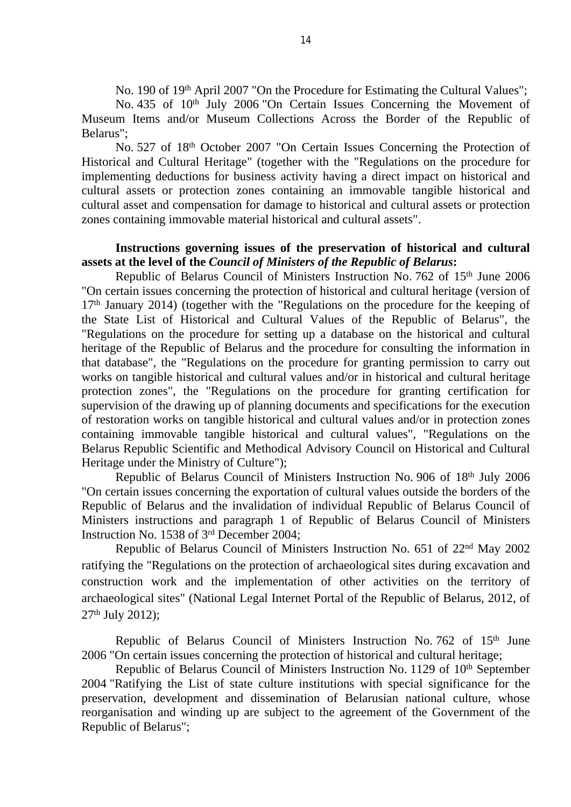No. 190 of 19<sup>th</sup> April 2007 "On the Procedure for Estimating the Cultural Values";

No. 435 of 10<sup>th</sup> July 2006 "On Certain Issues Concerning the Movement of Museum Items and/or Museum Collections Across the Border of the Republic of Belarus";

No. 527 of 18th October 2007 "On Certain Issues Concerning the Protection of Historical and Cultural Heritage" (together with the "Regulations on the procedure for implementing deductions for business activity having a direct impact on historical and cultural assets or protection zones containing an immovable tangible historical and cultural asset and compensation for damage to historical and cultural assets or protection zones containing immovable material historical and cultural assets".

#### **Instructions governing issues of the preservation of historical and cultural assets at the level of the** *Council of Ministers of the Republic of Belarus***:**

Republic of Belarus Council of Ministers Instruction No. 762 of 15<sup>th</sup> June 2006 "On certain issues concerning the protection of historical and cultural heritage (version of  $17<sup>th</sup>$  January 2014) (together with the "Regulations on the procedure for the keeping of the State List of Historical and Cultural Values of the Republic of Belarus", the "Regulations on the procedure for setting up a database on the historical and cultural heritage of the Republic of Belarus and the procedure for consulting the information in that database", the "Regulations on the procedure for granting permission to carry out works on tangible historical and cultural values and/or in historical and cultural heritage protection zones", the "Regulations on the procedure for granting certification for supervision of the drawing up of planning documents and specifications for the execution of restoration works on tangible historical and cultural values and/or in protection zones containing immovable tangible historical and cultural values", "Regulations on the Belarus Republic Scientific and Methodical Advisory Council on Historical and Cultural Heritage under the Ministry of Culture");

Republic of Belarus Council of Ministers Instruction No. 906 of 18th July 2006 "On certain issues concerning the exportation of cultural values outside the borders of the Republic of Belarus and the invalidation of individual Republic of Belarus Council of Ministers instructions and paragraph 1 of Republic of Belarus Council of Ministers Instruction No. 1538 of 3rd December 2004;

Republic of Belarus Council of Ministers Instruction No. 651 of 22nd May 2002 ratifying the "Regulations on the protection of archaeological sites during excavation and construction work and the implementation of other activities on the territory of archaeological sites" (National Legal Internet Portal of the Republic of Belarus, 2012, of 27th July 2012);

Republic of Belarus Council of Ministers Instruction No. 762 of 15<sup>th</sup> June 2006 "On certain issues concerning the protection of historical and cultural heritage;

Republic of Belarus Council of Ministers Instruction No. 1129 of 10<sup>th</sup> September 2004 "Ratifying the List of state culture institutions with special significance for the preservation, development and dissemination of Belarusian national culture, whose reorganisation and winding up are subject to the agreement of the Government of the Republic of Belarus";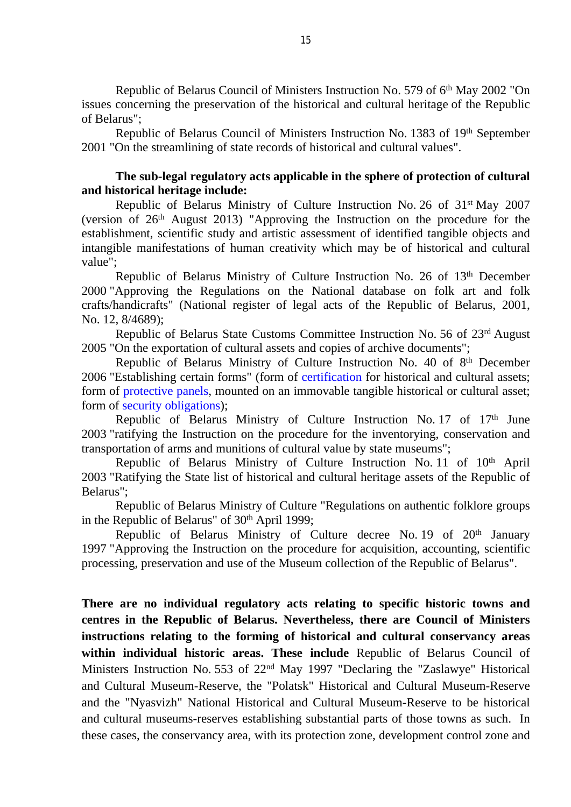Republic of Belarus Council of Ministers Instruction No. 579 of 6<sup>th</sup> May 2002 "On issues concerning the preservation of the historical and cultural heritage of the Republic of Belarus";

Republic of Belarus Council of Ministers Instruction No. 1383 of 19th September 2001 "On the streamlining of state records of historical and cultural values".

### **The sub-legal regulatory acts applicable in the sphere of protection of cultural and historical heritage include:**

Republic of Belarus Ministry of Culture Instruction No. 26 of 31st May 2007 (version of 26th August 2013) "Approving the Instruction on the procedure for the establishment, scientific study and artistic assessment of identified tangible objects and intangible manifestations of human creativity which may be of historical and cultural value";

Republic of Belarus Ministry of Culture Instruction No. 26 of 13th December 2000 "Approving the Regulations on the National database on folk art and folk crafts/handicrafts" (National register of legal acts of the Republic of Belarus, 2001, No. 12, 8/4689);

Republic of Belarus State Customs Committee Instruction No. 56 of 23rd August 2005 "On the exportation of cultural assets and copies of archive documents";

Republic of Belarus Ministry of Culture Instruction No. 40 of 8<sup>th</sup> December 2006 "Establishing certain forms" (form of [certification](consultantplus://offline/ref=8A109EBD0EFEEBFDD8F591AAEDF5F570EC695B3741ADCB12E1403CA3E6810B8B9AF9C00DCD685768EDC9AEE22AZ96DI) for historical and cultural assets; form of [protective](consultantplus://offline/ref=8A109EBD0EFEEBFDD8F591AAEDF5F570EC695B3741ADCB12E1403CA3E6810B8B9AF9C00DCD685768EDC9AEE229Z969I) panels, mounted on an immovable tangible historical or cultural asset; form of [security obligations\)](consultantplus://offline/ref=8A109EBD0EFEEBFDD8F591AAEDF5F570EC695B3741ADCB12E1403CA3E6810B8B9AF9C00DCD685768EDC9AEE226Z96DI);

Republic of Belarus Ministry of Culture Instruction No. 17 of 17<sup>th</sup> June 2003 "ratifying the Instruction on the procedure for the inventorying, conservation and transportation of arms and munitions of cultural value by state museums";

Republic of Belarus Ministry of Culture Instruction No. 11 of 10<sup>th</sup> April 2003 "Ratifying the State list of historical and cultural heritage assets of the Republic of Belarus";

Republic of Belarus Ministry of Culture "Regulations on authentic folklore groups in the Republic of Belarus" of  $30<sup>th</sup>$  April 1999;

Republic of Belarus Ministry of Culture decree No. 19 of  $20<sup>th</sup>$  January 1997 "Approving the Instruction on the procedure for acquisition, accounting, scientific processing, preservation and use of the Museum collection of the Republic of Belarus".

**There are no individual regulatory acts relating to specific historic towns and centres in the Republic of Belarus. Nevertheless, there are Council of Ministers instructions relating to the forming of historical and cultural conservancy areas within individual historic areas. These include** Republic of Belarus Council of Ministers Instruction No. 553 of 22nd May 1997 "Declaring the "Zaslawye" Historical and Cultural Museum-Reserve, the "Polatsk" Historical and Cultural Museum-Reserve and the "Nyasvizh" National Historical and Cultural Museum-Reserve to be historical and cultural museums-reserves establishing substantial parts of those towns as such. In these cases, the conservancy area, with its protection zone, development control zone and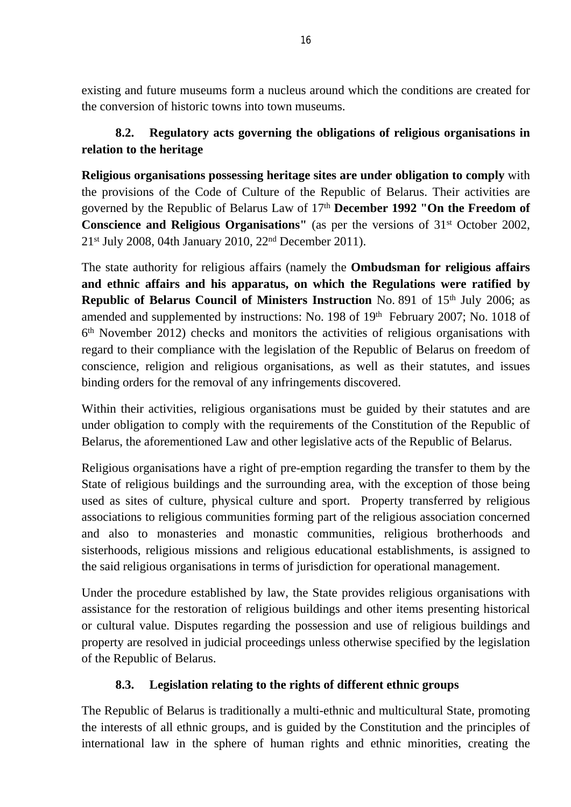existing and future museums form a nucleus around which the conditions are created for the conversion of historic towns into town museums.

# **8.2. Regulatory acts governing the obligations of religious organisations in relation to the heritage**

**Religious organisations possessing heritage sites are under obligation to comply** with the provisions of the Code of Culture of the Republic of Belarus. Their activities are governed by the Republic of Belarus Law of 17th **December 1992 "On the Freedom of Conscience and Religious Organisations''** (as per the versions of 31<sup>st</sup> October 2002, 21st July 2008, 04th January 2010, 22nd December 2011).

The state authority for religious affairs (namely the **Ombudsman for religious affairs and ethnic affairs and his apparatus, on which the Regulations were ratified by Republic of Belarus Council of Ministers Instruction No. 891 of 15th July 2006; as** amended and supplemented by instructions: No. 198 of 19<sup>th</sup> February 2007; No. 1018 of 6 th November 2012) checks and monitors the activities of religious organisations with regard to their compliance with the legislation of the Republic of Belarus on freedom of conscience, religion and religious organisations, as well as their statutes, and issues binding orders for the removal of any infringements discovered.

Within their activities, religious organisations must be guided by their statutes and are under obligation to comply with the requirements of the Constitution of the Republic of Belarus, the aforementioned Law and other legislative acts of the Republic of Belarus.

Religious organisations have a right of pre-emption regarding the transfer to them by the State of religious buildings and the surrounding area, with the exception of those being used as sites of culture, physical culture and sport. Property transferred by religious associations to religious communities forming part of the religious association concerned and also to monasteries and monastic communities, religious brotherhoods and sisterhoods, religious missions and religious educational establishments, is assigned to the said religious organisations in terms of jurisdiction for operational management.

Under the procedure established by law, the State provides religious organisations with assistance for the restoration of religious buildings and other items presenting historical or cultural value. Disputes regarding the possession and use of religious buildings and property are resolved in judicial proceedings unless otherwise specified by the legislation of the Republic of Belarus.

# **8.3. Legislation relating to the rights of different ethnic groups**

The Republic of Belarus is traditionally a multi-ethnic and multicultural State, promoting the interests of all ethnic groups, and is guided by the Constitution and the principles of international law in the sphere of human rights and ethnic minorities, creating the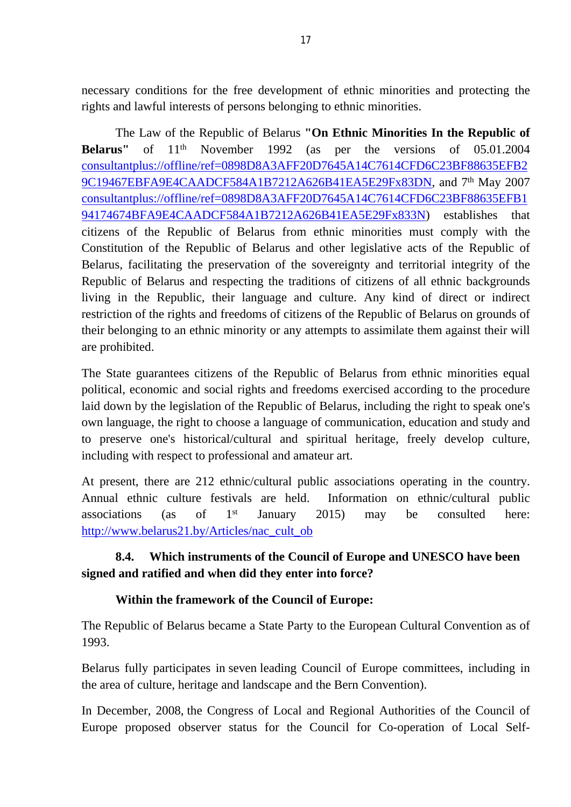necessary conditions for the free development of ethnic minorities and protecting the rights and lawful interests of persons belonging to ethnic minorities.

The Law of the Republic of Belarus **"On Ethnic Minorities In the Republic of Belarus''** of 11<sup>th</sup> November 1992 (as per the versions of 05.01.2004 [consultantplus://offline/ref=0898D8A3AFF20D7645A14C7614CFD6C23BF88635EFB2](consultantplus://offline/ref=0898D8A3AFF20D7645A14C7614CFD6C23BF88635EFB29C19467EBFA9E4CAADCF584A1B7212A626B41EA5E29Fx83DN) [9C19467EBFA9E4CAADCF584A1B7212A626B41EA5E29Fx83DN,](consultantplus://offline/ref=0898D8A3AFF20D7645A14C7614CFD6C23BF88635EFB29C19467EBFA9E4CAADCF584A1B7212A626B41EA5E29Fx83DN) and 7th May 2007 [consultantplus://offline/ref=0898D8A3AFF20D7645A14C7614CFD6C23BF88635EFB1](consultantplus://offline/ref=0898D8A3AFF20D7645A14C7614CFD6C23BF88635EFB194174674BFA9E4CAADCF584A1B7212A626B41EA5E29Fx833N) [94174674BFA9E4CAADCF584A1B7212A626B41EA5E29Fx833N](consultantplus://offline/ref=0898D8A3AFF20D7645A14C7614CFD6C23BF88635EFB194174674BFA9E4CAADCF584A1B7212A626B41EA5E29Fx833N)) establishes that citizens of the Republic of Belarus from ethnic minorities must comply with the Constitution of the Republic of Belarus and other legislative acts of the Republic of Belarus, facilitating the preservation of the sovereignty and territorial integrity of the Republic of Belarus and respecting the traditions of citizens of all ethnic backgrounds living in the Republic, their language and culture. Any kind of direct or indirect restriction of the rights and freedoms of citizens of the Republic of Belarus on grounds of their belonging to an ethnic minority or any attempts to assimilate them against their will are prohibited.

The State guarantees citizens of the Republic of Belarus from ethnic minorities equal political, economic and social rights and freedoms exercised according to the procedure laid down by the legislation of the Republic of Belarus, including the right to speak one's own language, the right to choose a language of communication, education and study and to preserve one's historical/cultural and spiritual heritage, freely develop culture, including with respect to professional and amateur art.

At present, there are 212 ethnic/cultural public associations operating in the country. Annual ethnic culture festivals are held. Information on ethnic/cultural public associations (as of  $1<sup>st</sup>$  January 2015) may be consulted here: [http://www.belarus21.by/Articles/nac\\_cult\\_ob](http://www.belarus21.by/Articles/nac_cult_ob)

# **8.4. Which instruments of the Council of Europe and UNESCO have been signed and ratified and when did they enter into force?**

# **Within the framework of the Council of Europe:**

The Republic of Belarus became a State Party to the European Cultural Convention as of 1993.

Belarus fully participates in seven leading Council of Europe committees, including in the area of culture, heritage and landscape and the Bern Convention).

In December, 2008, the Congress of Local and Regional Authorities of the Council of Europe proposed observer status for the Council for Co-operation of Local Self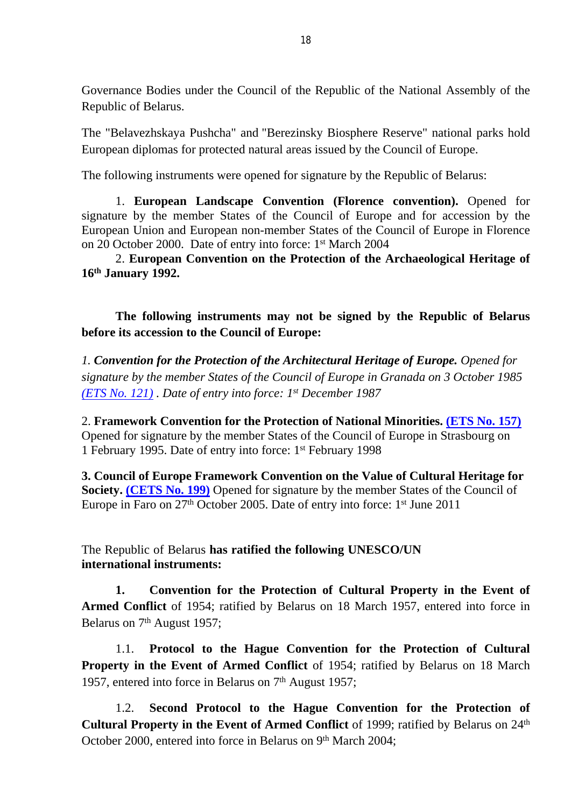Governance Bodies under the Council of the Republic of the National Assembly of the Republic of Belarus.

The "Belavezhskaya Pushcha" and "Berezinsky Biosphere Reserve" national parks hold European diplomas for protected natural areas issued by the Council of Europe.

The following instruments were opened for signature by the Republic of Belarus:

1. **European Landscape Convention (Florence convention).** Opened for signature by the member States of the Council of Europe and for accession by the European Union and European non-member States of the Council of Europe in Florence on 20 October 2000. Date of entry into force: 1st March 2004

2. **European Convention on the Protection of the Archaeological Heritage of 16th January 1992.**

**The following instruments may not be signed by the Republic of Belarus before its accession to the Council of Europe:**

*1. Convention for the Protection of the Architectural Heritage of Europe. Opened for signature by the member States of the Council of Europe in Granada on 3 October 1985 [\(ETS No. 121\)](http://conventions.coe.int/Treaty/RUS/Treaties/Html/121.htm) . Date of entry into force: 1st December 1987*

2. **Framework Convention for the Protection of National Minorities. [\(ETS No. 157\)](http://conventions.coe.int/Treaty/RUS/Treaties/Html/157.htm)** Opened for signature by the member States of the Council of Europe in Strasbourg on 1 February 1995. Date of entry into force: 1st February 1998

**3. Council of Europe Framework Convention on the Value of Cultural Heritage for Society. [\(CETS No. 199\)](http://conventions.coe.int/Treaty/RUS/Treaties/Html/199.htm)** Opened for signature by the member States of the Council of Europe in Faro on  $27<sup>th</sup>$  October 2005. Date of entry into force:  $1<sup>st</sup>$  June 2011

The Republic of Belarus **has ratified the following UNESCO/UN international instruments:**

**1. Convention for the Protection of Cultural Property in the Event of Armed Conflict** of 1954; ratified by Belarus on 18 March 1957, entered into force in Belarus on 7<sup>th</sup> August 1957;

1.1. **Protocol to the Hague Convention for the Protection of Cultural Property in the Event of Armed Conflict** of 1954; ratified by Belarus on 18 March 1957, entered into force in Belarus on 7<sup>th</sup> August 1957;

1.2. **Second Protocol to the Hague Convention for the Protection of Cultural Property in the Event of Armed Conflict** of 1999; ratified by Belarus on 24<sup>th</sup> October 2000, entered into force in Belarus on 9th March 2004;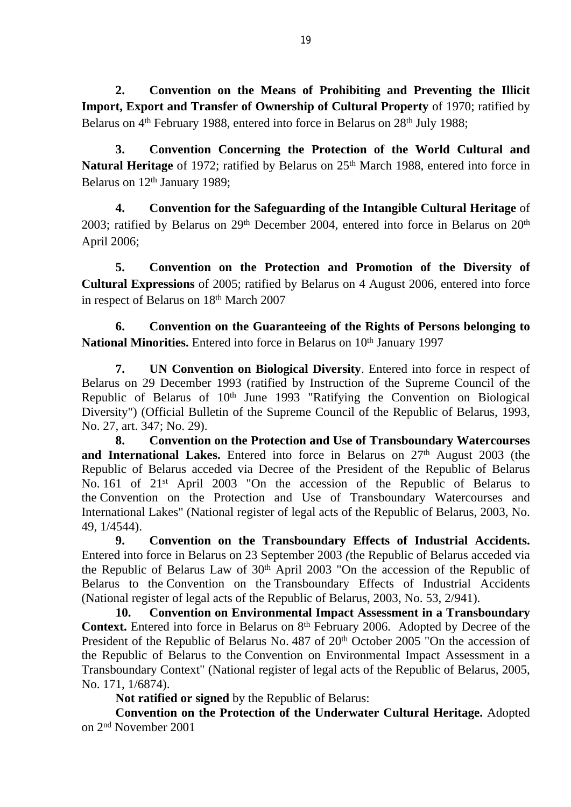**2. Convention on the Means of Prohibiting and Preventing the Illicit Import, Export and Transfer of Ownership of Cultural Property** of 1970; ratified by Belarus on 4<sup>th</sup> February 1988, entered into force in Belarus on 28<sup>th</sup> July 1988;

**3. Convention Concerning the Protection of the World Cultural and Natural Heritage** of 1972; ratified by Belarus on 25<sup>th</sup> March 1988, entered into force in Belarus on 12<sup>th</sup> January 1989;

**4. Convention for the Safeguarding of the Intangible Cultural Heritage** of 2003; ratified by Belarus on  $29<sup>th</sup>$  December 2004, entered into force in Belarus on  $20<sup>th</sup>$ April 2006;

**5. Convention on the Protection and Promotion of the Diversity of Cultural Expressions** of 2005; ratified by Belarus on 4 August 2006, entered into force in respect of Belarus on 18th March 2007

**6. Convention on the Guaranteeing of the Rights of Persons belonging to**  National Minorities. Entered into force in Belarus on 10<sup>th</sup> January 1997

**7. UN Convention on Biological Diversity**. Entered into force in respect of Belarus on 29 December 1993 (ratified by Instruction of the Supreme Council of the Republic of Belarus of 10<sup>th</sup> June 1993 "Ratifying the Convention on Biological Diversity") (Official Bulletin of the Supreme Council of the Republic of Belarus, 1993, No. 27, art. 347; No. 29).

**8. Convention on the Protection and Use of Transboundary Watercourses**  and International Lakes. Entered into force in Belarus on 27<sup>th</sup> August 2003 (the Republic of Belarus acceded via Decree of the President of the Republic of Belarus No. 161 of 21st April 2003 "On the accession of the Republic of Belarus to the Convention on the Protection and Use of Transboundary Watercourses and International Lakes" (National register of legal acts of the Republic of Belarus, 2003, No. 49, 1/4544).

**9. Convention on the Transboundary Effects of Industrial Accidents.**  Entered into force in Belarus on 23 September 2003 *(*the Republic of Belarus acceded via the Republic of Belarus Law of 30<sup>th</sup> April 2003 "On the accession of the Republic of Belarus to the Convention on the Transboundary Effects of Industrial Accidents (National register of legal acts of the Republic of Belarus, 2003, No. 53, 2/941).

**10. Convention on Environmental Impact Assessment in a Transboundary Context.** Entered into force in Belarus on 8<sup>th</sup> February 2006. Adopted by Decree of the President of the Republic of Belarus No. 487 of 20<sup>th</sup> October 2005 "On the accession of the Republic of Belarus to the Convention on Environmental Impact Assessment in a Transboundary Context" (National register of legal acts of the Republic of Belarus, 2005, No. 171, 1/6874).

**Not ratified or signed** by the Republic of Belarus:

**Convention on the Protection of the Underwater Cultural Heritage.** Adopted on 2nd November 2001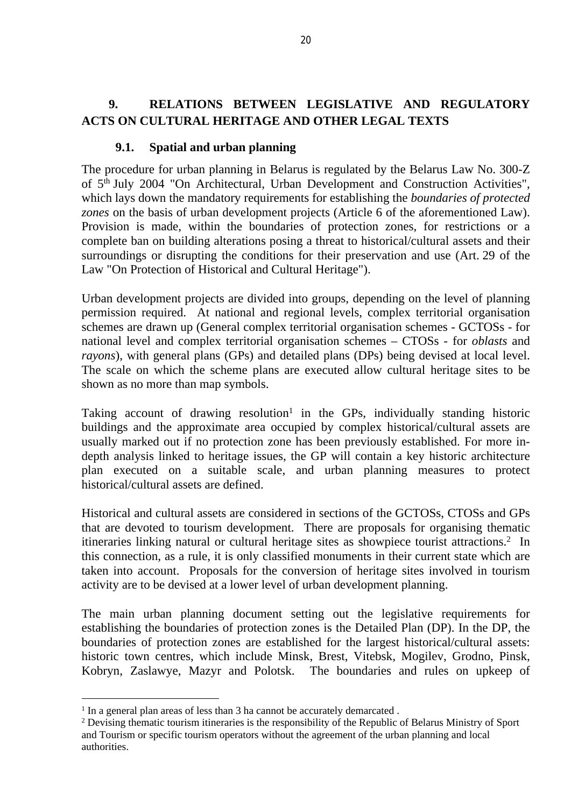# **9. RELATIONS BETWEEN LEGISLATIVE AND REGULATORY ACTS ON CULTURAL HERITAGE AND OTHER LEGAL TEXTS**

## **9.1. Spatial and urban planning**

The procedure for urban planning in Belarus is regulated by the Belarus Law No. 300-Z of 5th July 2004 "On Architectural, Urban Development and Construction Activities", which lays down the mandatory requirements for establishing the *boundaries of protected zones* on the basis of urban development projects (Article 6 of the aforementioned Law). Provision is made, within the boundaries of protection zones, for restrictions or a complete ban on building alterations posing a threat to historical/cultural assets and their surroundings or disrupting the conditions for their preservation and use (Art. 29 of the Law "On Protection of Historical and Cultural Heritage").

Urban development projects are divided into groups, depending on the level of planning permission required. At national and regional levels, complex territorial organisation schemes are drawn up (General complex territorial organisation schemes - GCTOSs - for national level and complex territorial organisation schemes – CTOSs - for *oblasts* and *rayons*), with general plans (GPs) and detailed plans (DPs) being devised at local level. The scale on which the scheme plans are executed allow cultural heritage sites to be shown as no more than map symbols.

Taking account of drawing resolution<sup>1</sup> in the GPs, individually standing historic buildings and the approximate area occupied by complex historical/cultural assets are usually marked out if no protection zone has been previously established. For more indepth analysis linked to heritage issues, the GP will contain a key historic architecture plan executed on a suitable scale, and urban planning measures to protect historical/cultural assets are defined.

Historical and cultural assets are considered in sections of the GCTOSs, CTOSs and GPs that are devoted to tourism development. There are proposals for organising thematic itineraries linking natural or cultural heritage sites as showpiece tourist attractions.<sup>2</sup> In this connection, as a rule, it is only classified monuments in their current state which are taken into account. Proposals for the conversion of heritage sites involved in tourism activity are to be devised at a lower level of urban development planning.

The main urban planning document setting out the legislative requirements for establishing the boundaries of protection zones is the Detailed Plan (DP). In the DP, the boundaries of protection zones are established for the largest historical/cultural assets: historic town centres, which include Minsk, Brest, Vitebsk, Mogilev, Grodno, Pinsk, Kobryn, Zaslawye, Mazyr and Polotsk. The boundaries and rules on upkeep of

<sup>&</sup>lt;sup>1</sup> In a general plan areas of less than 3 ha cannot be accurately demarcated.

<sup>&</sup>lt;sup>2</sup> Devising thematic tourism itineraries is the responsibility of the Republic of Belarus Ministry of Sport and Tourism or specific tourism operators without the agreement of the urban planning and local authorities.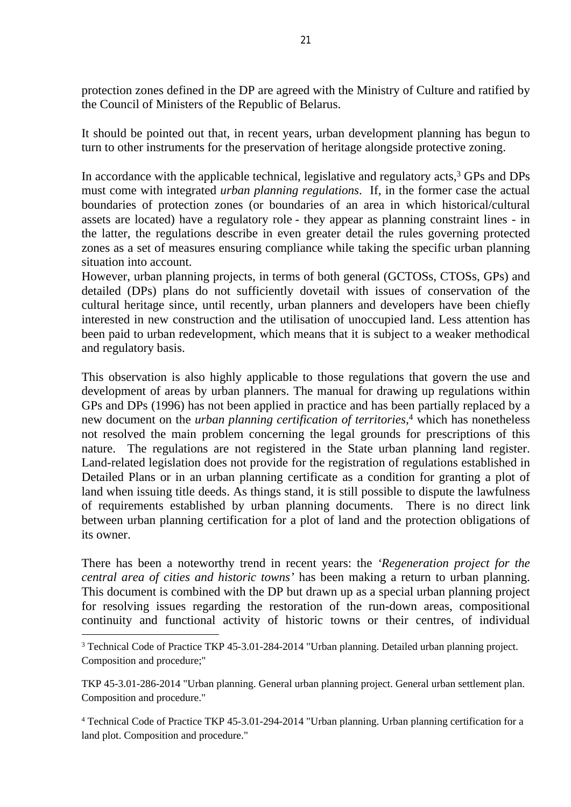protection zones defined in the DP are agreed with the Ministry of Culture and ratified by the Council of Ministers of the Republic of Belarus.

It should be pointed out that, in recent years, urban development planning has begun to turn to other instruments for the preservation of heritage alongside protective zoning.

In accordance with the applicable technical, legislative and regulatory acts,<sup>3</sup> GPs and DPs must come with integrated *urban planning regulations*. If, in the former case the actual boundaries of protection zones (or boundaries of an area in which historical/cultural assets are located) have a regulatory role - they appear as planning constraint lines - in the latter, the regulations describe in even greater detail the rules governing protected zones as a set of measures ensuring compliance while taking the specific urban planning situation into account.

However, urban planning projects, in terms of both general (GCTOSs, CTOSs, GPs) and detailed (DPs) plans do not sufficiently dovetail with issues of conservation of the cultural heritage since, until recently, urban planners and developers have been chiefly interested in new construction and the utilisation of unoccupied land. Less attention has been paid to urban redevelopment, which means that it is subject to a weaker methodical and regulatory basis.

This observation is also highly applicable to those regulations that govern the use and development of areas by urban planners. The manual for drawing up regulations within GPs and DPs (1996) has not been applied in practice and has been partially replaced by a new document on the *urban planning certification of territories,*<sup>4</sup> which has nonetheless not resolved the main problem concerning the legal grounds for prescriptions of this nature. The regulations are not registered in the State urban planning land register. Land-related legislation does not provide for the registration of regulations established in Detailed Plans or in an urban planning certificate as a condition for granting a plot of land when issuing title deeds. As things stand, it is still possible to dispute the lawfulness of requirements established by urban planning documents. There is no direct link between urban planning certification for a plot of land and the protection obligations of its owner.

There has been a noteworthy trend in recent years: the *'Regeneration project for the central area of cities and historic towns'* has been making a return to urban planning. This document is combined with the DP but drawn up as a special urban planning project for resolving issues regarding the restoration of the run-down areas, compositional continuity and functional activity of historic towns or their centres, of individual

<sup>&</sup>lt;sup>3</sup> Technical Code of Practice TKP 45-3.01-284-2014 "Urban planning. Detailed urban planning project. Composition and procedure;"

TKP 45-3.01-286-2014 "Urban planning. General urban planning project. General urban settlement plan. Composition and procedure."

<sup>4</sup> Technical Code of Practice TKP 45-3.01-294-2014 "Urban planning. Urban planning certification for a land plot. Composition and procedure."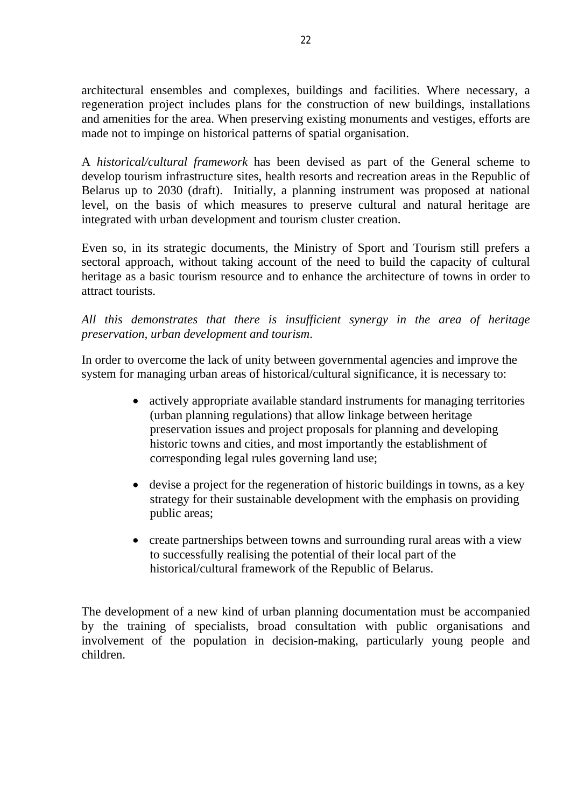architectural ensembles and complexes, buildings and facilities. Where necessary, a regeneration project includes plans for the construction of new buildings, installations and amenities for the area. When preserving existing monuments and vestiges, efforts are made not to impinge on historical patterns of spatial organisation.

A *historical/cultural framework* has been devised as part of the General scheme to develop tourism infrastructure sites, health resorts and recreation areas in the Republic of Belarus up to 2030 (draft). Initially, a planning instrument was proposed at national level, on the basis of which measures to preserve cultural and natural heritage are integrated with urban development and tourism cluster creation.

Even so, in its strategic documents, the Ministry of Sport and Tourism still prefers a sectoral approach, without taking account of the need to build the capacity of cultural heritage as a basic tourism resource and to enhance the architecture of towns in order to attract tourists.

### *All this demonstrates that there is insufficient synergy in the area of heritage preservation, urban development and tourism*.

In order to overcome the lack of unity between governmental agencies and improve the system for managing urban areas of historical/cultural significance, it is necessary to:

- actively appropriate available standard instruments for managing territories (urban planning regulations) that allow linkage between heritage preservation issues and project proposals for planning and developing historic towns and cities, and most importantly the establishment of corresponding legal rules governing land use;
- devise a project for the regeneration of historic buildings in towns, as a key strategy for their sustainable development with the emphasis on providing public areas;
- create partnerships between towns and surrounding rural areas with a view to successfully realising the potential of their local part of the historical/cultural framework of the Republic of Belarus.

The development of a new kind of urban planning documentation must be accompanied by the training of specialists, broad consultation with public organisations and involvement of the population in decision-making, particularly young people and children.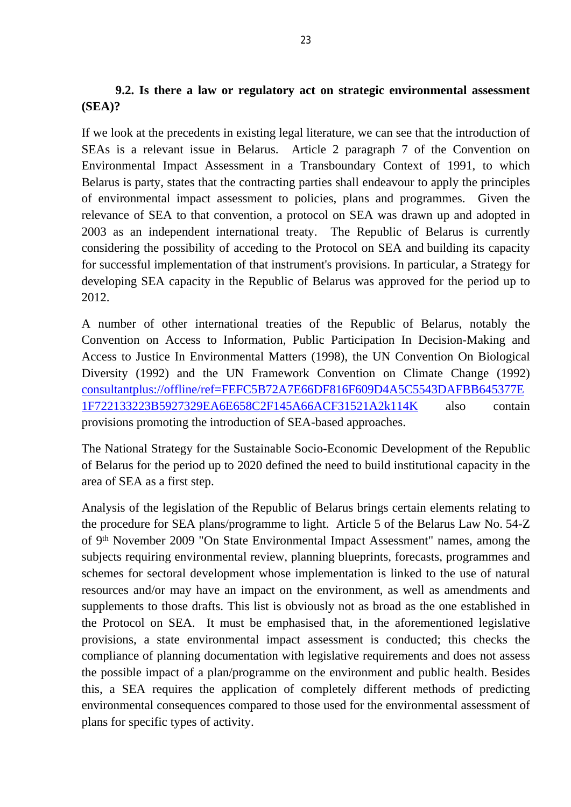# **9.2. Is there a law or regulatory act on strategic environmental assessment (SEA)?**

If we look at the precedents in existing legal literature, we can see that the introduction of SEAs is a relevant issue in Belarus. Article 2 paragraph 7 of the Convention on Environmental Impact Assessment in a Transboundary Context of 1991, to which Belarus is party, states that the contracting parties shall endeavour to apply the principles of environmental impact assessment to policies, plans and programmes. Given the relevance of SEA to that convention, a protocol on SEA was drawn up and adopted in 2003 as an independent international treaty. The Republic of Belarus is currently considering the possibility of acceding to the Protocol on SEA and building its capacity for successful implementation of that instrument's provisions. In particular, a Strategy for developing SEA capacity in the Republic of Belarus was approved for the period up to 2012.

A number of other international treaties of the Republic of Belarus, notably the Convention on Access to Information, Public Participation In Decision-Making and Access to Justice In Environmental Matters (1998), the UN Convention On Biological Diversity (1992) and the UN Framework Convention on Climate Change (1992) [consultantplus://offline/ref=FEFC5B72A7E66DF816F609D4A5C5543DAFBB645377E](consultantplus://offline/ref=FEFC5B72A7E66DF816F609D4A5C5543DAFBB645377E1F722133223B5927329EA6E658C2F145A66ACF31521A2k114K) [1F722133223B5927329EA6E658C2F145A66ACF31521A2k114K](consultantplus://offline/ref=FEFC5B72A7E66DF816F609D4A5C5543DAFBB645377E1F722133223B5927329EA6E658C2F145A66ACF31521A2k114K) also contain provisions promoting the introduction of SEA-based approaches.

The National Strategy for the Sustainable Socio-Economic Development of the Republic of Belarus for the period up to 2020 defined the need to build institutional capacity in the area of SEA as a first step.

Analysis of the legislation of the Republic of Belarus brings certain elements relating to the procedure for SEA plans/programme to light. [Article 5](consultantplus://offline/ref=FEFC5B72A7E66DF816F609D4A5C55432A3AE645377E1F32610322DE8987B70E66C628370035D2FA0F21521A111kB1FK) of the Belarus Law No. 54-Z of 9th November 2009 "On State Environmental Impact Assessment" names, among the subjects requiring environmental review, planning blueprints, forecasts, programmes and schemes for sectoral development whose implementation is linked to the use of natural resources and/or may have an impact on the environment, as well as amendments and supplements to those drafts. This list is obviously not as broad as the one established in the Protocol on SEA. It must be emphasised that, in the aforementioned legislative provisions, a state environmental impact assessment is conducted; this checks the compliance of planning documentation with legislative requirements and does not assess the possible impact of a plan/programme on the environment and public health. Besides this, a SEA requires the application of completely different methods of predicting environmental consequences compared to those used for the environmental assessment of plans for specific types of activity.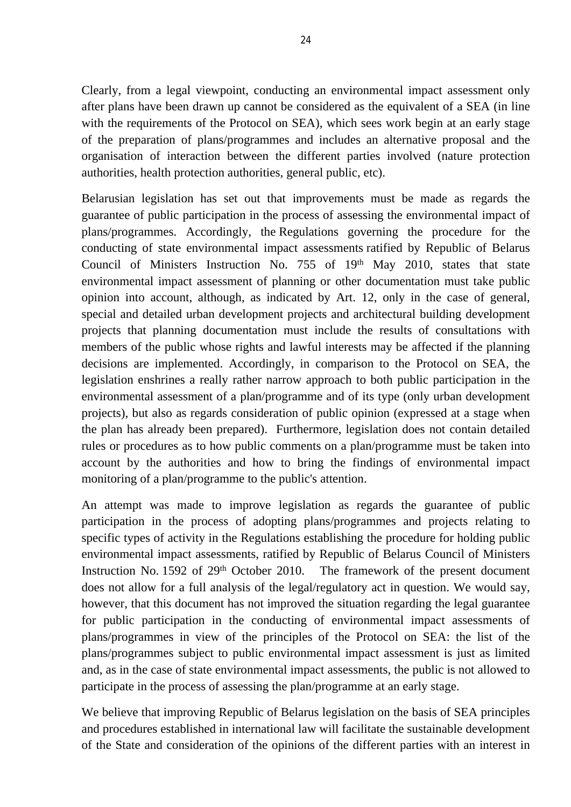Clearly, from a legal viewpoint, conducting an environmental impact assessment only after plans have been drawn up cannot be considered as the equivalent of a SEA (in line with the requirements of the Protocol on SEA), which sees work begin at an early stage of the preparation of plans/programmes and includes an alternative proposal and the organisation of interaction between the different parties involved (nature protection authorities, health protection authorities, general public, etc).

Belarusian legislation has set out that improvements must be made as regards the guarantee of public participation in the process of assessing the environmental impact of plans/programmes. Accordingly, the Regulations governing the procedure for the conducting of state environmental impact assessments ratified by Republic of Belarus Council of Ministers Instruction No. 755 of 19th May 2010, states that state environmental impact assessment of planning or other documentation must take public opinion into account, although, as indicated by [Art. 12](consultantplus://offline/ref=FEFC5B72A7E66DF816F609D4A5C55432A3AE645377E1F32610322DE8987B70E66C628370035D2FA0F21521A012kB15K), only in the case of general, special and detailed urban development projects and architectural building development projects that planning documentation must include the results of consultations with members of the public whose rights and lawful interests may be affected if the planning decisions are implemented. Accordingly, in comparison to the Protocol on SEA, the legislation enshrines a really rather narrow approach to both public participation in the environmental assessment of a plan/programme and of its type (only urban development projects), but also as regards consideration of public opinion (expressed at a stage when the plan has already been prepared). Furthermore, legislation does not contain detailed rules or procedures as to how public comments on a plan/programme must be taken into account by the authorities and how to bring the findings of environmental impact monitoring of a plan/programme to the public's attention.

An attempt was made to improve legislation as regards the guarantee of public participation in the process of adopting plans/programmes and projects relating to specific types of activity in the Regulations establishing the procedure for holding public environmental impact assessments, ratified by Republic of Belarus Council of Ministers Instruction No. 1592 of 29<sup>th</sup> October 2010. The framework of the present document does not allow for a full analysis of the legal/regulatory act in question. We would say, however, that this document has not improved the situation regarding the legal guarantee for public participation in the conducting of environmental impact assessments of plans/programmes in view of the principles of the Protocol on SEA: the list of the plans/programmes subject to public environmental impact assessment is just as limited and, as in the case of state environmental impact assessments, the public is not allowed to participate in the process of assessing the plan/programme at an early stage.

We believe that improving Republic of Belarus legislation on the basis of SEA principles and procedures established in international law will facilitate the sustainable development of the State and consideration of the opinions of the different parties with an interest in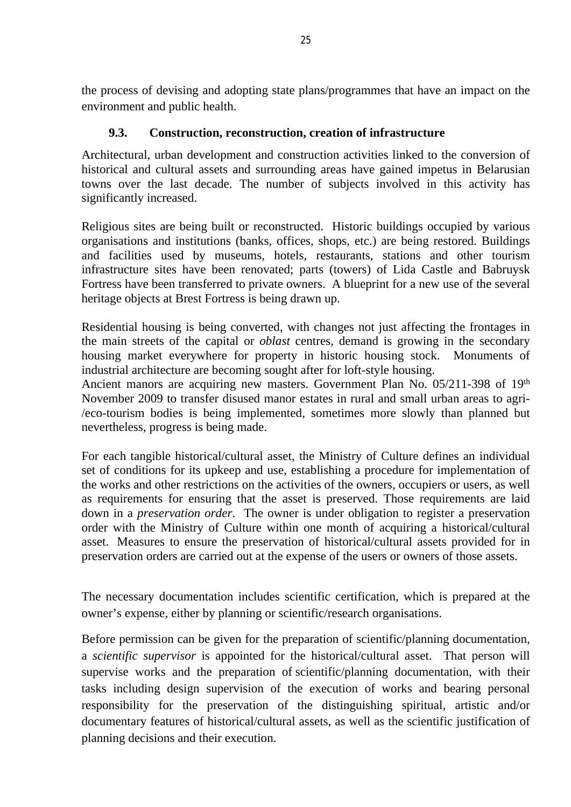the process of devising and adopting state plans/programmes that have an impact on the environment and public health.

## **9.3. Construction, reconstruction, creation of infrastructure**

Architectural, urban development and construction activities linked to the conversion of historical and cultural assets and surrounding areas have gained impetus in Belarusian towns over the last decade. The number of subjects involved in this activity has significantly increased.

Religious sites are being built or reconstructed. Historic buildings occupied by various organisations and institutions (banks, offices, shops, etc.) are being restored. Buildings and facilities used by museums, hotels, restaurants, stations and other tourism infrastructure sites have been renovated; parts (towers) of Lida Castle and Babruysk Fortress have been transferred to private owners. A blueprint for a new use of the several heritage objects at Brest Fortress is being drawn up.

Residential housing is being converted, with changes not just affecting the frontages in the main streets of the capital or *oblast* centres, demand is growing in the secondary housing market everywhere for property in historic housing stock. Monuments of industrial architecture are becoming sought after for loft-style housing.

Ancient manors are acquiring new masters. Government Plan No. 05/211-398 of 19<sup>th</sup> November 2009 to transfer disused manor estates in rural and small urban areas to agri- /eco-tourism bodies is being implemented, sometimes more slowly than planned but nevertheless, progress is being made.

For each tangible historical/cultural asset, the Ministry of Culture defines an individual set of conditions for its upkeep and use, establishing a procedure for implementation of the works and other restrictions on the activities of the owners, occupiers or users, as well as requirements for ensuring that the asset is preserved. Those requirements are laid down in a *preservation order*. The owner is under obligation to register a preservation order with the Ministry of Culture within one month of acquiring a historical/cultural asset. Measures to ensure the preservation of historical/cultural assets provided for in preservation orders are carried out at the expense of the users or owners of those assets.

The necessary documentation includes scientific certification, which is prepared at the owner's expense, either by planning or scientific/research organisations.

Before permission can be given for the preparation of scientific/planning documentation, a *scientific supervisor* is appointed for the historical/cultural asset. That person will supervise works and the preparation of scientific/planning documentation, with their tasks including design supervision of the execution of works and bearing personal responsibility for the preservation of the distinguishing spiritual, artistic and/or documentary features of historical/cultural assets, as well as the scientific justification of planning decisions and their execution.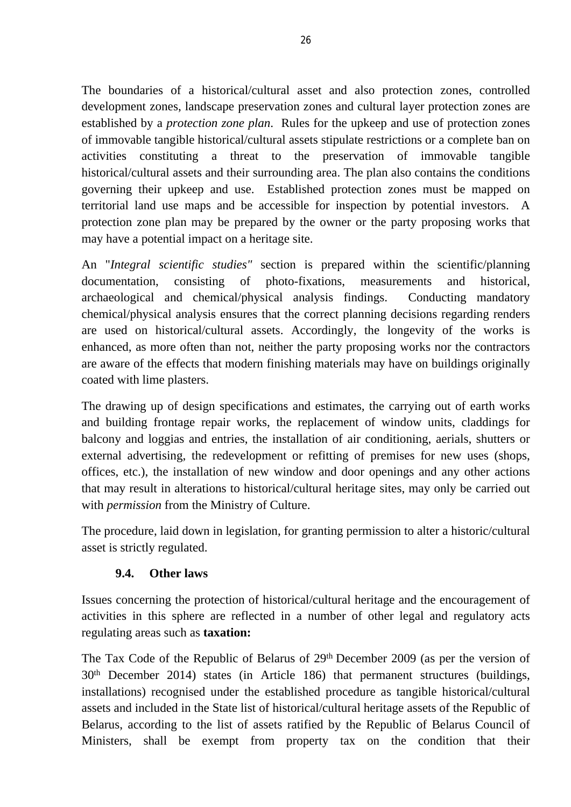The boundaries of a historical/cultural asset and also protection zones, controlled development zones, landscape preservation zones and cultural layer protection zones are established by a *protection zone plan*. Rules for the upkeep and use of protection zones of immovable tangible historical/cultural assets stipulate restrictions or a complete ban on activities constituting a threat to the preservation of immovable tangible historical/cultural assets and their surrounding area. The plan also contains the conditions governing their upkeep and use. Established protection zones must be mapped on territorial land use maps and be accessible for inspection by potential investors. A protection zone plan may be prepared by the owner or the party proposing works that may have a potential impact on a heritage site.

An "*Integral scientific studies"* section is prepared within the scientific/planning documentation, consisting of photo-fixations, measurements and historical, archaeological and chemical/physical analysis findings. Conducting mandatory chemical/physical analysis ensures that the correct planning decisions regarding renders are used on historical/cultural assets. Accordingly, the longevity of the works is enhanced, as more often than not, neither the party proposing works nor the contractors are aware of the effects that modern finishing materials may have on buildings originally coated with lime plasters.

The drawing up of design specifications and estimates, the carrying out of earth works and building frontage repair works, the replacement of window units, claddings for balcony and loggias and entries, the installation of air conditioning, aerials, shutters or external advertising, the redevelopment or refitting of premises for new uses (shops, offices, etc.), the installation of new window and door openings and any other actions that may result in alterations to historical/cultural heritage sites, may only be carried out with *permission* from the Ministry of Culture.

The procedure, laid down in legislation, for granting permission to alter a historic/cultural asset is strictly regulated.

# **9.4. Other laws**

Issues concerning the protection of historical/cultural heritage and the encouragement of activities in this sphere are reflected in a number of other legal and regulatory acts regulating areas such as **taxation:**

The Tax Code of the Republic of Belarus of 29th December 2009 (as per the version of 30th December 2014) states (in Article 186) that permanent structures (buildings, installations) recognised under the established procedure as tangible historical/cultural assets and included in the State list of historical/cultural heritage assets of the Republic of Belarus, according to the list of assets ratified by the Republic of Belarus Council of Ministers, shall be exempt from property tax on the condition that their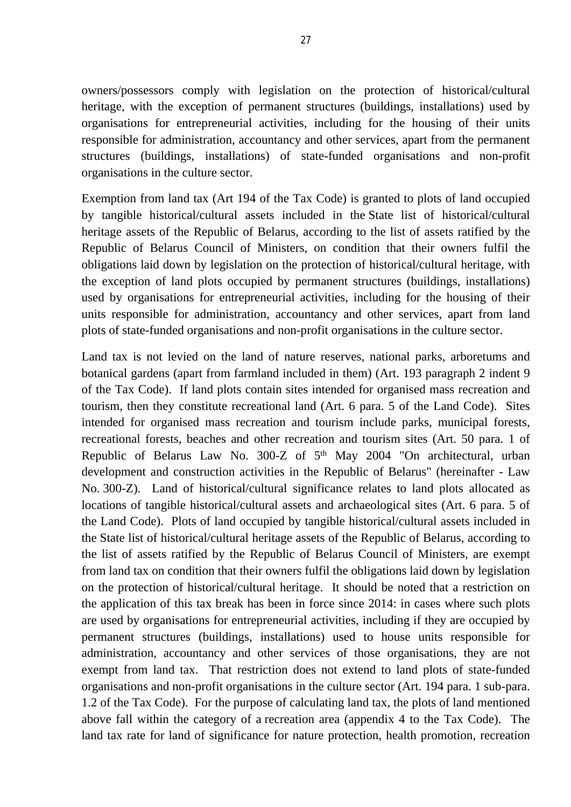owners/possessors comply with legislation on the protection of historical/cultural heritage, with the exception of permanent structures (buildings, installations) used by organisations for entrepreneurial activities, including for the housing of their units responsible for administration, accountancy and other services, apart from the permanent structures (buildings, installations) of state-funded organisations and non-profit organisations in the culture sector.

Exemption from land tax (Art 194 of the Tax Code) is granted to plots of land occupied by tangible historical/cultural assets included in the State list of historical/cultural heritage assets of the Republic of Belarus, according to the list of assets ratified by the Republic of Belarus Council of Ministers, on condition that their owners fulfil the obligations laid down by legislation on the protection of historical/cultural heritage, with the exception of land plots occupied by permanent structures (buildings, installations) used by organisations for entrepreneurial activities, including for the housing of their units responsible for administration, accountancy and other services, apart from land plots of state-funded organisations and non-profit organisations in the culture sector.

Land tax is not levied on the land of nature reserves, national parks, arboretums and botanical gardens (apart from farmland included in them) (Art. 193 paragraph 2 indent 9 of the Tax Code). If land plots contain sites intended for organised mass recreation and tourism, then they constitute recreational land (Art. 6 para. 5 of the Land Code). Sites intended for organised mass recreation and tourism include parks, municipal forests, recreational forests, beaches and other recreation and tourism sites (Art. 50 para. 1 of Republic of Belarus Law No. 300-Z of 5th May 2004 "On architectural, urban development and construction activities in the Republic of Belarus" (hereinafter - Law No. 300-Z). Land of historical/cultural significance relates to land plots allocated as locations of tangible historical/cultural assets and archaeological sites (Art. 6 para. 5 of the Land Code). Plots of land occupied by tangible historical/cultural assets included in the State list of historical/cultural heritage assets of the Republic of Belarus, according to the list of assets ratified by the Republic of Belarus Council of Ministers, are exempt from land tax on condition that their owners fulfil the obligations laid down by legislation on the protection of historical/cultural heritage. It should be noted that a restriction on the application of this tax break has been in force since 2014: in cases where such plots are used by organisations for entrepreneurial activities, including if they are occupied by permanent structures (buildings, installations) used to house units responsible for administration, accountancy and other services of those organisations, they are not exempt from land tax. That restriction does not extend to land plots of state-funded organisations and non-profit organisations in the culture sector (Art. 194 para. 1 sub-para. 1.2 of the Tax Code). For the purpose of calculating land tax, the plots of land mentioned above fall within the category of a recreation area (appendix 4 to the Tax Code). The land tax rate for land of significance for nature protection, health promotion, recreation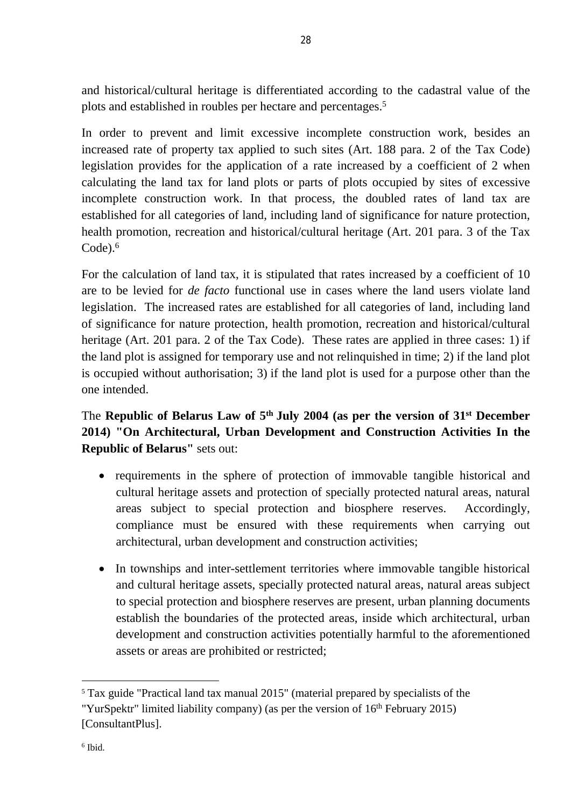and historical/cultural heritage is differentiated according to the cadastral value of the plots and established in roubles per hectare and percentages.<sup>5</sup>

In order to prevent and limit excessive incomplete construction work, besides an increased rate of property tax applied to such sites (Art. 188 para. 2 of the Tax Code) legislation provides for the application of a rate increased by a coefficient of 2 when calculating the land tax for land plots or parts of plots occupied by sites of excessive incomplete construction work. In that process, the doubled rates of land tax are established for all categories of land, including land of significance for nature protection, health promotion, recreation and historical/cultural heritage (Art. 201 para. 3 of the Tax  $Code<sup>6</sup>$ 

For the calculation of land tax, it is stipulated that rates increased by a coefficient of 10 are to be levied for *de facto* functional use in cases where the land users violate land legislation. The increased rates are established for all categories of land, including land of significance for nature protection, health promotion, recreation and historical/cultural heritage (Art. 201 para. 2 of the Tax Code). These rates are applied in three cases: 1) if the land plot is assigned for temporary use and not relinquished in time; 2) if the land plot is occupied without authorisation; 3) if the land plot is used for a purpose other than the one intended.

# The **Republic of Belarus Law of 5th July 2004 (as per the version of 31st December 2014) "On Architectural, Urban Development and Construction Activities In the Republic of Belarus"** sets out:

- requirements in the sphere of protection of immovable tangible historical and cultural heritage assets and protection of specially protected natural areas, natural areas subject to special protection and biosphere reserves. Accordingly, compliance must be ensured with these requirements when carrying out architectural, urban development and construction activities;
- In townships and inter-settlement territories where immovable tangible historical and cultural heritage assets, specially protected natural areas, natural areas subject to special protection and biosphere reserves are present, urban planning documents establish the boundaries of the protected areas, inside which architectural, urban development and construction activities potentially harmful to the aforementioned assets or areas are prohibited or restricted;

<sup>5</sup> Tax guide "Practical land tax manual 2015" (material prepared by specialists of the

<sup>&</sup>quot;YurSpektr" limited liability company) (as per the version of  $16<sup>th</sup>$  February 2015) [ConsultantPlus].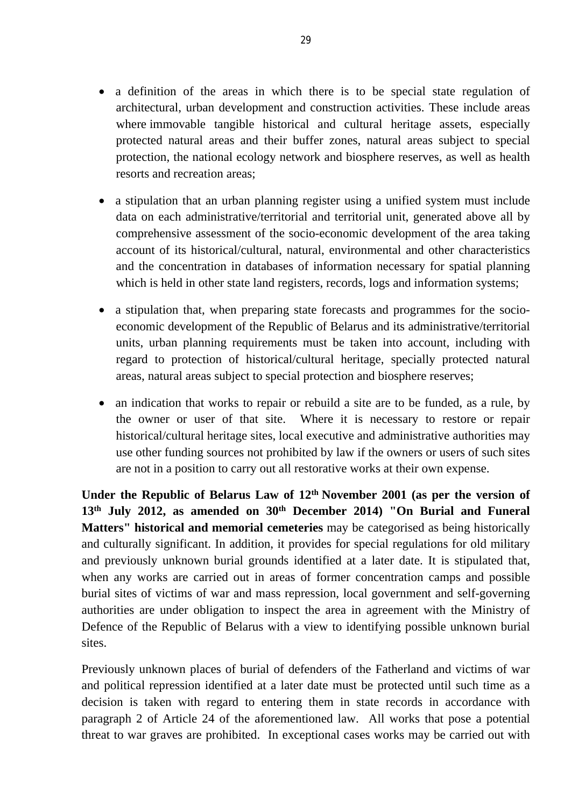- a definition of the areas in which there is to be special state regulation of architectural, urban development and construction activities. These include areas where immovable tangible historical and cultural heritage assets, especially protected natural areas and their buffer zones, natural areas subject to special protection, the national ecology network and biosphere reserves, as well as health resorts and recreation areas;
- a stipulation that an urban planning register using a unified system must include data on each administrative/territorial and territorial unit, generated above all by comprehensive assessment of the socio-economic development of the area taking account of its historical/cultural, natural, environmental and other characteristics and the concentration in databases of information necessary for spatial planning which is held in other state land registers, records, logs and information systems;
- a stipulation that, when preparing state forecasts and programmes for the socioeconomic development of the Republic of Belarus and its administrative/territorial units, urban planning requirements must be taken into account, including with regard to protection of historical/cultural heritage, specially protected natural areas, natural areas subject to special protection and biosphere reserves;
- an indication that works to repair or rebuild a site are to be funded, as a rule, by the owner or user of that site. Where it is necessary to restore or repair historical/cultural heritage sites, local executive and administrative authorities may use other funding sources not prohibited by law if the owners or users of such sites are not in a position to carry out all restorative works at their own expense.

**Under the Republic of Belarus Law of 12th November 2001 (as per the version of 13th July 2012, as amended on 30th December 2014) "On Burial and Funeral Matters" historical and memorial cemeteries** may be categorised as being historically and culturally significant. In addition, it provides for special regulations for old military and previously unknown burial grounds identified at a later date. It is stipulated that, when any works are carried out in areas of former concentration camps and possible burial sites of victims of war and mass repression, local government and self-governing authorities are under obligation to inspect the area in agreement with the Ministry of Defence of the Republic of Belarus with a view to identifying possible unknown burial sites.

Previously unknown places of burial of defenders of the Fatherland and victims of war and political repression identified at a later date must be protected until such time as a decision is taken with regard to entering them in state records in accordance with paragraph 2 of Article 24 of the aforementioned law. All works that pose a potential threat to war graves are prohibited. In exceptional cases works may be carried out with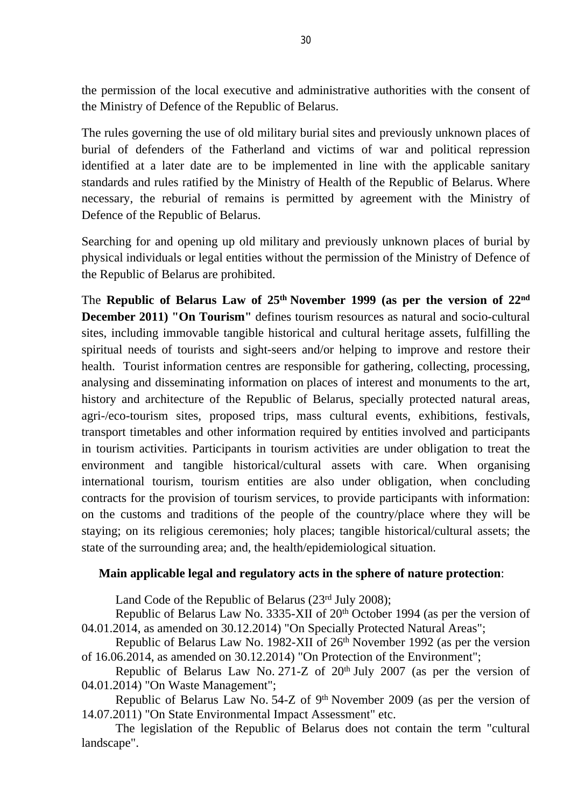the permission of the local executive and administrative authorities with the consent of the Ministry of Defence of the Republic of Belarus.

The rules governing the use of old military burial sites and previously unknown places of burial of defenders of the Fatherland and victims of war and political repression identified at a later date are to be implemented in line with the applicable sanitary standards and rules ratified by the Ministry of Health of the Republic of Belarus. Where necessary, the reburial of remains is permitted by agreement with the Ministry of Defence of the Republic of Belarus.

Searching for and opening up old military and previously unknown places of burial by physical individuals or legal entities without the permission of the Ministry of Defence of the Republic of Belarus are prohibited.

The **Republic of Belarus Law of 25th November 1999 (as per the version of 22nd December 2011) "On Tourism"** defines tourism resources as natural and socio-cultural sites, including immovable tangible historical and cultural heritage assets, fulfilling the spiritual needs of tourists and sight-seers and/or helping to improve and restore their health. Tourist information centres are responsible for gathering, collecting, processing, analysing and disseminating information on places of interest and monuments to the art, history and architecture of the Republic of Belarus, specially protected natural areas, agri-/eco-tourism sites, proposed trips, mass cultural events, exhibitions, festivals, transport timetables and other information required by entities involved and participants in tourism activities. Participants in tourism activities are under obligation to treat the environment and tangible historical/cultural assets with care. When organising international tourism, tourism entities are also under obligation, when concluding contracts for the provision of tourism services, to provide participants with information: on the customs and traditions of the people of the country/place where they will be staying; on its religious ceremonies; holy places; tangible historical/cultural assets; the state of the surrounding area; and, the health/epidemiological situation.

#### **Main applicable legal and regulatory acts in the sphere of nature protection**:

Land Code of the Republic of Belarus (23rd July 2008);

Republic of Belarus Law No. 3335-XII of 20<sup>th</sup> October 1994 (as per the version of 04.01.2014, as amended on 30.12.2014) "On Specially Protected Natural Areas";

Republic of Belarus Law No. 1982-XII of 26<sup>th</sup> November 1992 (as per the version of 16.06.2014, as amended on 30.12.2014) "On Protection of the Environment";

Republic of Belarus Law No. 271-Z of  $20<sup>th</sup>$  July 2007 (as per the version of 04.01.2014) "On Waste Management";

Republic of Belarus Law No. 54-Z of 9<sup>th</sup> November 2009 (as per the version of 14.07.2011) "On State Environmental Impact Assessment" etc.

The legislation of the Republic of Belarus does not contain the term "cultural landscape".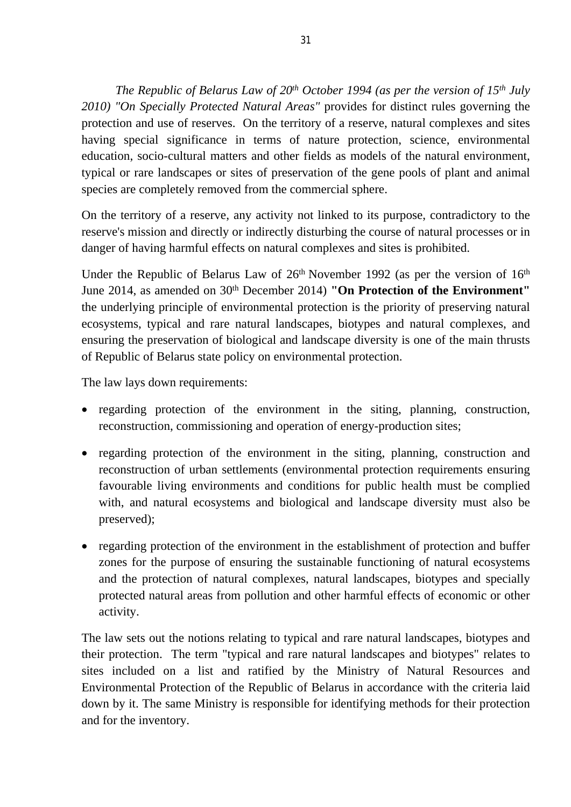*The Republic of Belarus Law of 20th October 1994 (as per the version of 15th July 2010) "On Specially Protected Natural Areas"* provides for distinct rules governing the protection and use of reserves. On the territory of a reserve, natural complexes and sites having special significance in terms of nature protection, science, environmental education, socio-cultural matters and other fields as models of the natural environment, typical or rare landscapes or sites of preservation of the gene pools of plant and animal species are completely removed from the commercial sphere.

On the territory of a reserve, any activity not linked to its purpose, contradictory to the reserve's mission and directly or indirectly disturbing the course of natural processes or in danger of having harmful effects on natural complexes and sites is prohibited.

Under the Republic of Belarus Law of  $26<sup>th</sup>$  November 1992 (as per the version of  $16<sup>th</sup>$ June 2014, as amended on 30<sup>th</sup> December 2014) **"On Protection of the Environment"** the underlying principle of environmental protection is the priority of preserving natural ecosystems, typical and rare natural landscapes, biotypes and natural complexes, and ensuring the preservation of biological and landscape diversity is one of the main thrusts of Republic of Belarus state policy on environmental protection.

The law lays down requirements:

- regarding protection of the environment in the siting, planning, construction, reconstruction, commissioning and operation of energy-production sites;
- regarding protection of the environment in the siting, planning, construction and reconstruction of urban settlements (environmental protection requirements ensuring favourable living environments and conditions for public health must be complied with, and natural ecosystems and biological and landscape diversity must also be preserved);
- regarding protection of the environment in the establishment of protection and buffer zones for the purpose of ensuring the sustainable functioning of natural ecosystems and the protection of natural complexes, natural landscapes, biotypes and specially protected natural areas from pollution and other harmful effects of economic or other activity.

The law sets out the notions relating to typical and rare natural landscapes, biotypes and their protection. The term "typical and rare natural landscapes and biotypes" relates to sites included on a list and ratified by the Ministry of Natural Resources and Environmental Protection of the Republic of Belarus in accordance with the criteria laid down by it. The same Ministry is responsible for identifying methods for their protection and for the inventory.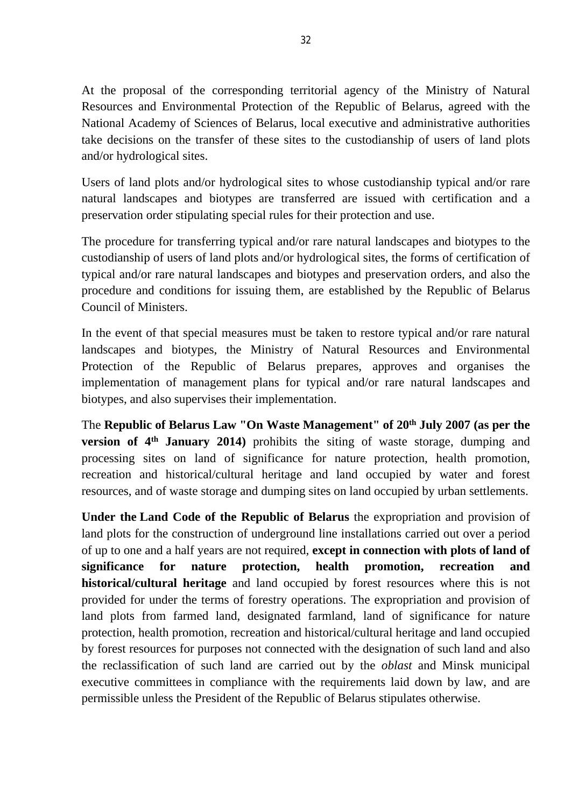At the proposal of the corresponding territorial agency of the Ministry of Natural Resources and Environmental Protection of the Republic of Belarus, agreed with the National Academy of Sciences of Belarus, local executive and administrative authorities take decisions on the transfer of these sites to the custodianship of users of land plots and/or hydrological sites.

Users of land plots and/or hydrological sites to whose custodianship typical and/or rare natural landscapes and biotypes are transferred are issued with certification and a preservation order stipulating special rules for their protection and use.

The procedure for transferring typical and/or rare natural landscapes and biotypes to the custodianship of users of land plots and/or hydrological sites, the forms of certification of typical and/or rare natural landscapes and biotypes and preservation orders, and also the procedure and conditions for issuing them, are established by the Republic of Belarus Council of Ministers.

In the event of that special measures must be taken to restore typical and/or rare natural landscapes and biotypes, the Ministry of Natural Resources and Environmental Protection of the Republic of Belarus prepares, approves and organises the implementation of management plans for typical and/or rare natural landscapes and biotypes, and also supervises their implementation.

The **Republic of Belarus Law "On Waste Management" of 20th July 2007 (as per the version of 4th January 2014)** prohibits the siting of waste storage, dumping and processing sites on land of significance for nature protection, health promotion, recreation and historical/cultural heritage and land occupied by water and forest resources, and of waste storage and dumping sites on land occupied by urban settlements.

**Under the Land Code of the Republic of Belarus** the expropriation and provision of land plots for the construction of underground line installations carried out over a period of up to one and a half years are not required, **except in connection with plots of land of significance for nature protection, health promotion, recreation and historical/cultural heritage** and land occupied by forest resources where this is not provided for under the terms of forestry operations. The expropriation and provision of land plots from farmed land, designated farmland, land of significance for nature protection, health promotion, recreation and historical/cultural heritage and land occupied by forest resources for purposes not connected with the designation of such land and also the reclassification of such land are carried out by the *oblast* and Minsk municipal executive committees in compliance with the requirements laid down by law, and are permissible unless the President of the Republic of Belarus stipulates otherwise.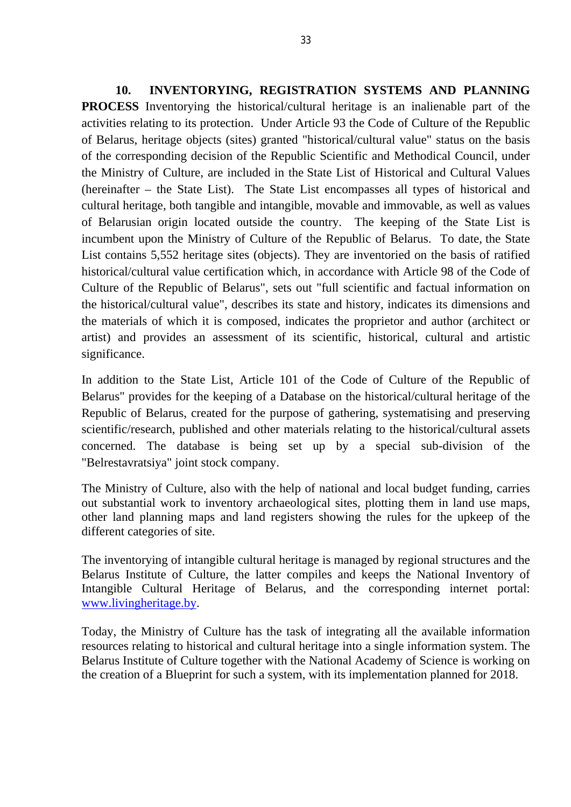**10. INVENTORYING, REGISTRATION SYSTEMS AND PLANNING PROCESS** Inventorying the historical/cultural heritage is an inalienable part of the activities relating to its protection. Under Article 93 the Code of Culture of the Republic of Belarus, heritage objects (sites) granted "historical/cultural value" status on the basis of the corresponding decision of the Republic Scientific and Methodical Council, under the Ministry of Culture, are included in the State List of Historical and Cultural Values (hereinafter – the State List). The State List encompasses all types of historical and cultural heritage, both tangible and intangible, movable and immovable, as well as values of Belarusian origin located outside the country. The keeping of the State List is incumbent upon the Ministry of Culture of the Republic of Belarus. To date, the State List contains 5,552 heritage sites (objects). They are inventoried on the basis of ratified historical/cultural value certification which, in accordance with Article 98 of the Code of Culture of the Republic of Belarus", sets out "full scientific and factual information on the historical/cultural value", describes its state and history, indicates its dimensions and the materials of which it is composed, indicates the proprietor and author (architect or artist) and provides an assessment of its scientific, historical, cultural and artistic significance.

In addition to the State List, Article 101 of the Code of Culture of the Republic of Belarus" provides for the keeping of a Database on the historical/cultural heritage of the Republic of Belarus, created for the purpose of gathering, systematising and preserving scientific/research, published and other materials relating to the historical/cultural assets concerned. The database is being set up by a special sub-division of the "Belrestavratsiya" joint stock company.

The Ministry of Culture, also with the help of national and local budget funding, carries out substantial work to inventory archaeological sites, plotting them in land use maps, other land planning maps and land registers showing the rules for the upkeep of the different categories of site.

The inventorying of intangible cultural heritage is managed by regional structures and the Belarus Institute of Culture, the latter compiles and keeps the National Inventory of Intangible Cultural Heritage of Belarus, and the corresponding internet portal: [www.livingheritage.by.](http://www.livingheritage.by)

Today, the Ministry of Culture has the task of integrating all the available information resources relating to historical and cultural heritage into a single information system. The Belarus Institute of Culture together with the National Academy of Science is working on the creation of a Blueprint for such a system, with its implementation planned for 2018.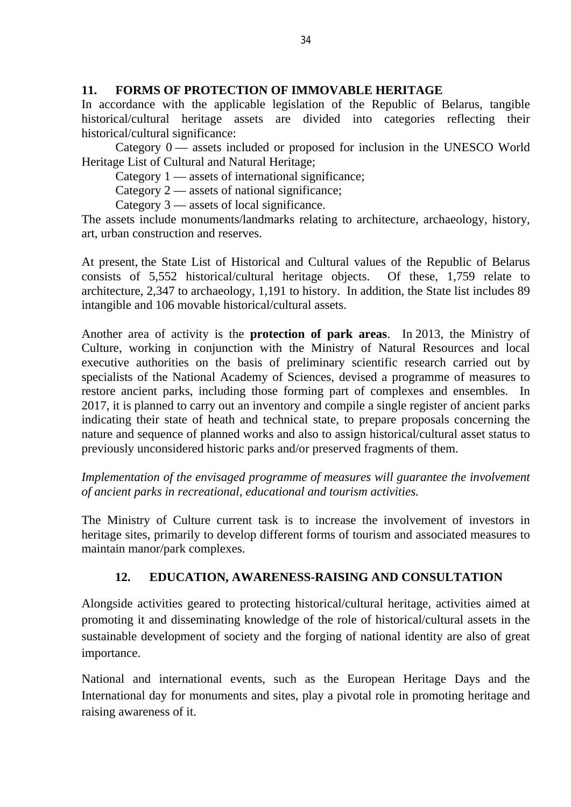### **11. FORMS OF PROTECTION OF IMMOVABLE HERITAGE**

In accordance with the applicable legislation of the Republic of Belarus, tangible historical/cultural heritage assets are divided into categories reflecting their historical/cultural significance:

Category  $0$  — assets included or proposed for inclusion in the UNESCO World Heritage List of Cultural and Natural Heritage;

Category 1 — assets of international significance;

Category 2 — assets of national significance;

Category 3 — assets of local significance.

The assets include monuments/landmarks relating to architecture, archaeology, history, art, urban construction and reserves.

At present, the State List of Historical and Cultural values of the Republic of Belarus consists of 5,552 historical/cultural heritage objects. Of these, 1,759 relate to architecture, 2,347 to archaeology, 1,191 to history. In addition, the State list includes 89 intangible and 106 movable historical/cultural assets.

Another area of activity is the **protection of park areas**. In 2013, the Ministry of Culture, working in conjunction with the Ministry of Natural Resources and local executive authorities on the basis of preliminary scientific research carried out by specialists of the National Academy of Sciences, devised a programme of measures to restore ancient parks, including those forming part of complexes and ensembles. In 2017, it is planned to carry out an inventory and compile a single register of ancient parks indicating their state of heath and technical state, to prepare proposals concerning the nature and sequence of planned works and also to assign historical/cultural asset status to previously unconsidered historic parks and/or preserved fragments of them.

*Implementation of the envisaged programme of measures will guarantee the involvement of ancient parks in recreational, educational and tourism activities.*

The Ministry of Culture current task is to increase the involvement of investors in heritage sites, primarily to develop different forms of tourism and associated measures to maintain manor/park complexes.

# **12. EDUCATION, AWARENESS-RAISING AND CONSULTATION**

Alongside activities geared to protecting historical/cultural heritage, activities aimed at promoting it and disseminating knowledge of the role of historical/cultural assets in the sustainable development of society and the forging of national identity are also of great importance.

National and international events, such as the European Heritage Days and the International day for monuments and sites, play a pivotal role in promoting heritage and raising awareness of it.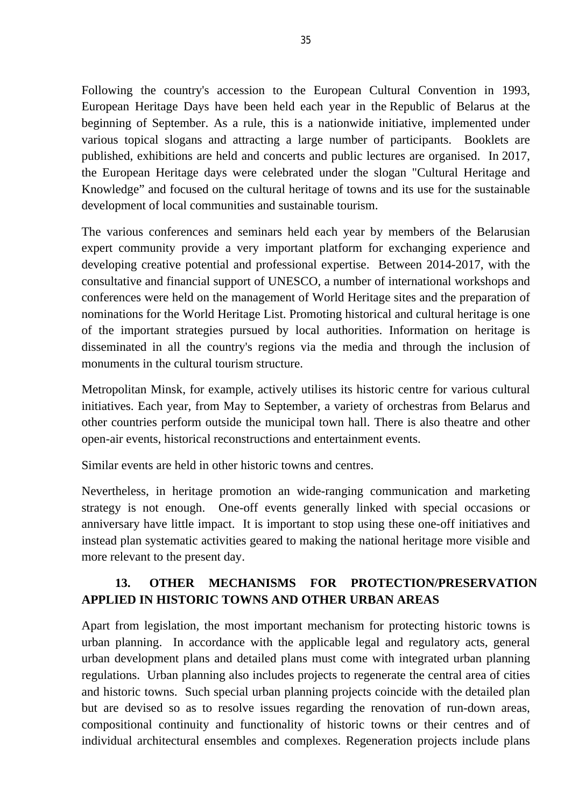Following the country's accession to the European Cultural Convention in 1993, European Heritage Days have been held each year in the Republic of Belarus at the beginning of September. As a rule, this is a nationwide initiative, implemented under various topical slogans and attracting a large number of participants. Booklets are published, exhibitions are held and concerts and public lectures are organised. In 2017, the European Heritage days were celebrated under the slogan "Cultural Heritage and Knowledge" and focused on the cultural heritage of towns and its use for the sustainable development of local communities and sustainable tourism.

The various conferences and seminars held each year by members of the Belarusian expert community provide a very important platform for exchanging experience and developing creative potential and professional expertise. Between 2014-2017, with the consultative and financial support of UNESCO, a number of international workshops and conferences were held on the management of World Heritage sites and the preparation of nominations for the World Heritage List. Promoting historical and cultural heritage is one of the important strategies pursued by local authorities. Information on heritage is disseminated in all the country's regions via the media and through the inclusion of monuments in the cultural tourism structure.

Metropolitan Minsk, for example, actively utilises its historic centre for various cultural initiatives. Each year, from May to September, a variety of orchestras from Belarus and other countries perform outside the municipal town hall. There is also theatre and other open-air events, historical reconstructions and entertainment events.

Similar events are held in other historic towns and centres.

Nevertheless, in heritage promotion an wide-ranging communication and marketing strategy is not enough. One-off events generally linked with special occasions or anniversary have little impact. It is important to stop using these one-off initiatives and instead plan systematic activities geared to making the national heritage more visible and more relevant to the present day.

# 13. OTHER MECHANISMS FOR PROTECTION/PRESERVATION **APPLIED IN HISTORIC TOWNS AND OTHER URBAN AREAS**

Apart from legislation, the most important mechanism for protecting historic towns is urban planning. In accordance with the applicable legal and regulatory acts, general urban development plans and detailed plans must come with integrated urban planning regulations. Urban planning also includes projects to regenerate the central area of cities and historic towns. Such special urban planning projects coincide with the detailed plan but are devised so as to resolve issues regarding the renovation of run-down areas, compositional continuity and functionality of historic towns or their centres and of individual architectural ensembles and complexes. Regeneration projects include plans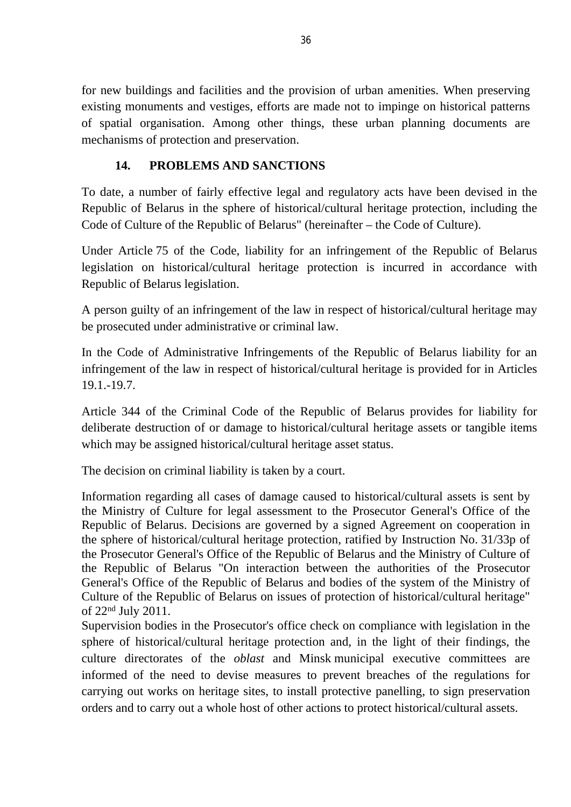for new buildings and facilities and the provision of urban amenities. When preserving existing monuments and vestiges, efforts are made not to impinge on historical patterns of spatial organisation. Among other things, these urban planning documents are mechanisms of protection and preservation.

## **14. PROBLEMS AND SANCTIONS**

To date, a number of fairly effective legal and regulatory acts have been devised in the Republic of Belarus in the sphere of historical/cultural heritage protection, including the Code of Culture of the Republic of Belarus" (hereinafter – the Code of Culture).

Under Article 75 of the Code, liability for an infringement of the Republic of Belarus legislation on historical/cultural heritage protection is incurred in accordance with Republic of Belarus legislation.

A person guilty of an infringement of the law in respect of historical/cultural heritage may be prosecuted under administrative or criminal law.

In the Code of Administrative Infringements of the Republic of Belarus liability for an infringement of the law in respect of historical/cultural heritage is provided for in Articles 19.1.-19.7.

Article 344 of the Criminal Code of the Republic of Belarus provides for liability for deliberate destruction of or damage to historical/cultural heritage assets or tangible items which may be assigned historical/cultural heritage asset status.

The decision on criminal liability is taken by a court.

Information regarding all cases of damage caused to historical/cultural assets is sent by the Ministry of Culture for legal assessment to the Prosecutor General's Office of the Republic of Belarus. Decisions are governed by a signed Agreement on cooperation in the sphere of historical/cultural heritage protection, ratified by Instruction No. 31/33p of the Prosecutor General's Office of the Republic of Belarus and the Ministry of Culture of the Republic of Belarus "On interaction between the authorities of the Prosecutor General's Office of the Republic of Belarus and bodies of the system of the Ministry of Culture of the Republic of Belarus on issues of protection of historical/cultural heritage" of 22nd July 2011.

Supervision bodies in the Prosecutor's office check on compliance with legislation in the sphere of historical/cultural heritage protection and, in the light of their findings, the culture directorates of the *oblast* and Minsk municipal executive committees are informed of the need to devise measures to prevent breaches of the regulations for carrying out works on heritage sites, to install protective panelling, to sign preservation orders and to carry out a whole host of other actions to protect historical/cultural assets.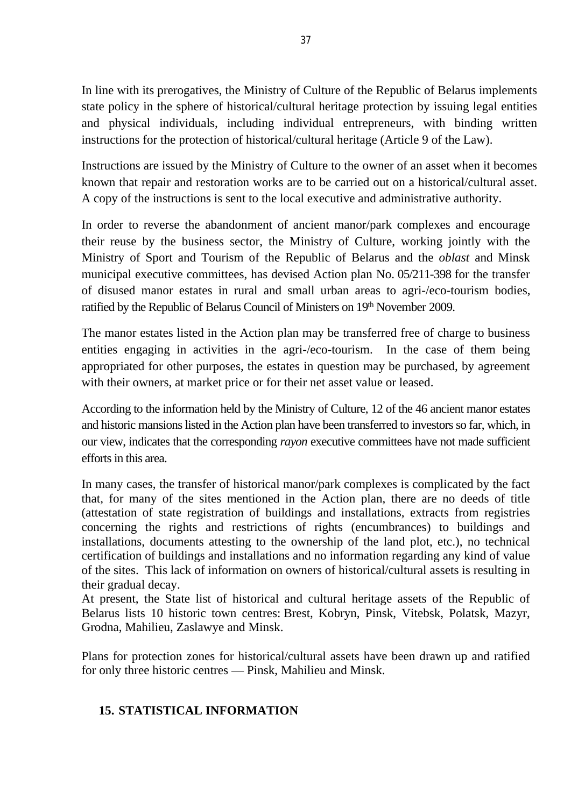In line with its prerogatives, the Ministry of Culture of the Republic of Belarus implements state policy in the sphere of historical/cultural heritage protection by issuing legal entities and physical individuals, including individual entrepreneurs, with binding written instructions for the protection of historical/cultural heritage (Article 9 of the Law).

Instructions are issued by the Ministry of Culture to the owner of an asset when it becomes known that repair and restoration works are to be carried out on a historical/cultural asset. A copy of the instructions is sent to the local executive and administrative authority.

In order to reverse the abandonment of ancient manor/park complexes and encourage their reuse by the business sector, the Ministry of Culture, working jointly with the Ministry of Sport and Tourism of the Republic of Belarus and the *oblast* and Minsk municipal executive committees, has devised Action plan No. 05/211-398 for the transfer of disused manor estates in rural and small urban areas to agri-/eco-tourism bodies, ratified by the Republic of Belarus Council of Ministers on 19th November 2009.

The manor estates listed in the Action plan may be transferred free of charge to business entities engaging in activities in the agri-/eco-tourism. In the case of them being appropriated for other purposes, the estates in question may be purchased, by agreement with their owners, at market price or for their net asset value or leased.

According to the information held by the Ministry of Culture, 12 of the 46 ancient manor estates and historic mansions listed in the Action plan have been transferred to investors so far, which, in our view, indicates that the corresponding *rayon* executive committees have not made sufficient efforts in this area.

In many cases, the transfer of historical manor/park complexes is complicated by the fact that, for many of the sites mentioned in the Action plan, there are no deeds of title (attestation of state registration of buildings and installations, extracts from registries concerning the rights and restrictions of rights (encumbrances) to buildings and installations, documents attesting to the ownership of the land plot, etc.), no technical certification of buildings and installations and no information regarding any kind of value of the sites. This lack of information on owners of historical/cultural assets is resulting in their gradual decay.

At present, the State list of historical and cultural heritage assets of the Republic of Belarus lists 10 historic town centres: Brest, Kobryn, Pinsk, Vitebsk, Polatsk, Mazyr, Grodna, Mahilieu, Zaslawye and Minsk.

Plans for protection zones for historical/cultural assets have been drawn up and ratified for only three historic centres — Pinsk, Mahilieu and Minsk.

### **15. STATISTICAL INFORMATION**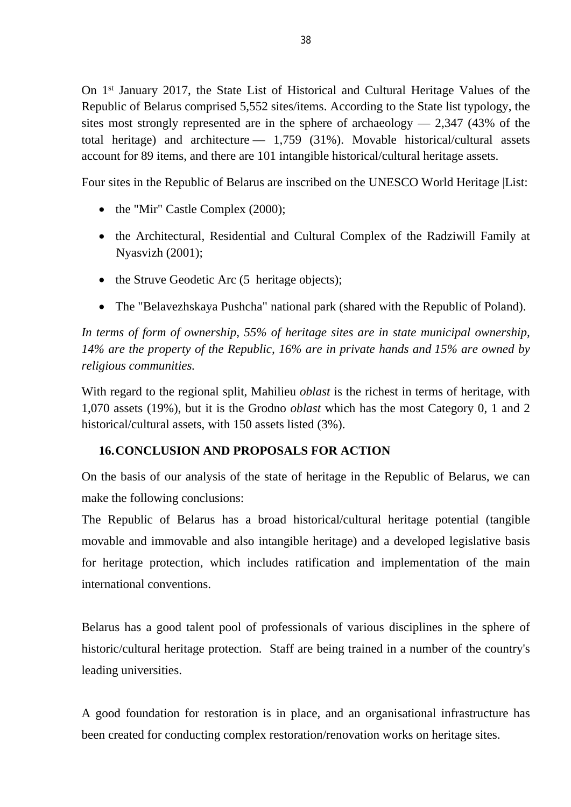On 1st January 2017, the State List of Historical and Cultural Heritage Values of the Republic of Belarus comprised 5,552 sites/items. According to the State list typology, the sites most strongly represented are in the sphere of archaeology  $-2,347$  (43% of the total heritage) and architecture — 1,759 (31%). Movable historical/cultural assets account for 89 items, and there are 101 intangible historical/cultural heritage assets.

Four sites in the Republic of Belarus are inscribed on the UNESCO World Heritage |List:

- the "Mir" Castle Complex (2000);
- the Architectural, Residential and Cultural Complex of the Radziwill Family at Nyasvizh (2001);
- the Struve Geodetic Arc (5 heritage objects);
- The "Belavezhskaya Pushcha" national park (shared with the Republic of Poland).

*In terms of form of ownership, 55% of heritage sites are in state municipal ownership, 14% are the property of the Republic, 16% are in private hands and 15% are owned by religious communities.*

With regard to the regional split, Mahilieu *oblast* is the richest in terms of heritage, with 1,070 assets (19%), but it is the Grodno *oblast* which has the most Category 0, 1 and 2 historical/cultural assets, with 150 assets listed (3%).

# **16.CONCLUSION AND PROPOSALS FOR ACTION**

On the basis of our analysis of the state of heritage in the Republic of Belarus, we can make the following conclusions:

The Republic of Belarus has a broad historical/cultural heritage potential (tangible movable and immovable and also intangible heritage) and a developed legislative basis for heritage protection, which includes ratification and implementation of the main international conventions.

Belarus has a good talent pool of professionals of various disciplines in the sphere of historic/cultural heritage protection. Staff are being trained in a number of the country's leading universities.

A good foundation for restoration is in place, and an organisational infrastructure has been created for conducting complex restoration/renovation works on heritage sites.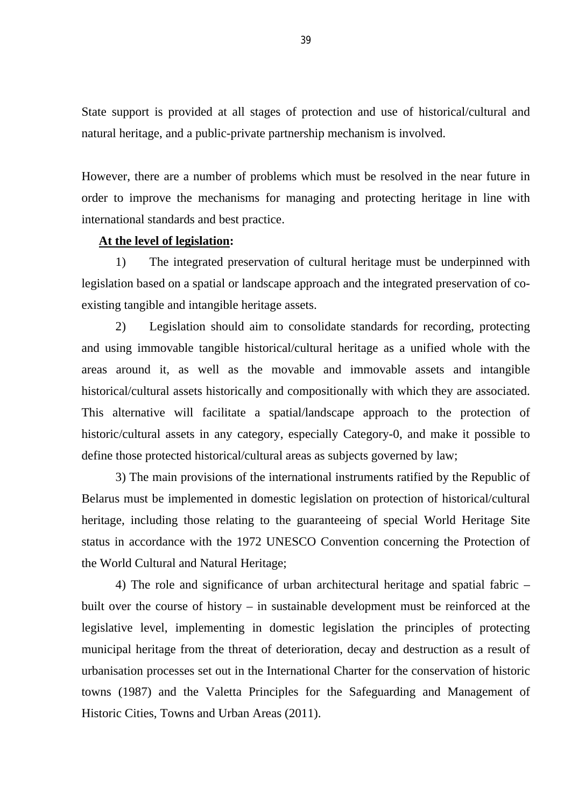State support is provided at all stages of protection and use of historical/cultural and natural heritage, and a public-private partnership mechanism is involved.

However, there are a number of problems which must be resolved in the near future in order to improve the mechanisms for managing and protecting heritage in line with international standards and best practice.

#### **At the level of legislation:**

1) The integrated preservation of cultural heritage must be underpinned with legislation based on a spatial or landscape approach and the integrated preservation of coexisting tangible and intangible heritage assets.

2) Legislation should aim to consolidate standards for recording, protecting and using immovable tangible historical/cultural heritage as a unified whole with the areas around it, as well as the movable and immovable assets and intangible historical/cultural assets historically and compositionally with which they are associated. This alternative will facilitate a spatial/landscape approach to the protection of historic/cultural assets in any category, especially Category-0, and make it possible to define those protected historical/cultural areas as subjects governed by law;

3) The main provisions of the international instruments ratified by the Republic of Belarus must be implemented in domestic legislation on protection of historical/cultural heritage, including those relating to the guaranteeing of special World Heritage Site status in accordance with the 1972 UNESCO Convention concerning the Protection of the World Cultural and Natural Heritage;

4) The role and significance of urban architectural heritage and spatial fabric – built over the course of history – in sustainable development must be reinforced at the legislative level, implementing in domestic legislation the principles of protecting municipal heritage from the threat of deterioration, decay and destruction as a result of urbanisation processes set out in the International Charter for the conservation of historic towns (1987) and the Valetta Principles for the Safeguarding and Management of Historic Cities, Towns and Urban Areas (2011).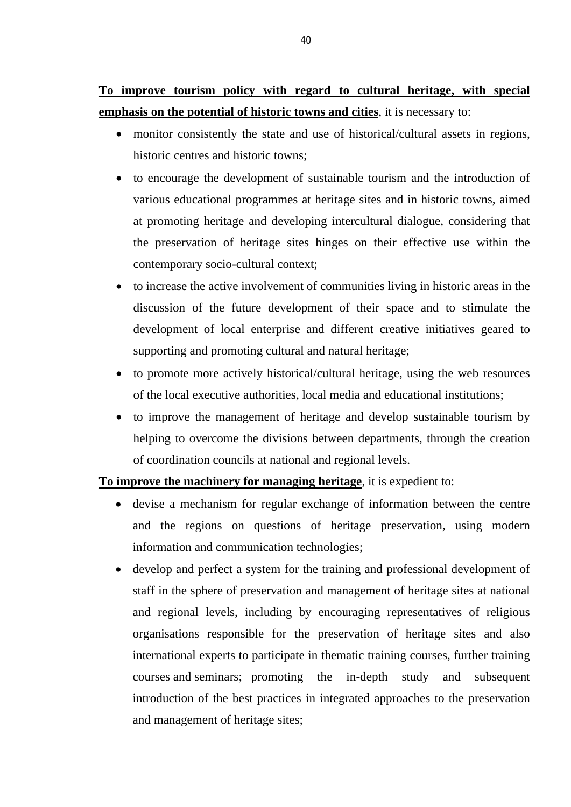**To improve tourism policy with regard to cultural heritage, with special emphasis on the potential of historic towns and cities**, it is necessary to:

- monitor consistently the state and use of historical/cultural assets in regions, historic centres and historic towns;
- to encourage the development of sustainable tourism and the introduction of various educational programmes at heritage sites and in historic towns, aimed at promoting heritage and developing intercultural dialogue, considering that the preservation of heritage sites hinges on their effective use within the contemporary socio-cultural context;
- to increase the active involvement of communities living in historic areas in the discussion of the future development of their space and to stimulate the development of local enterprise and different creative initiatives geared to supporting and promoting cultural and natural heritage;
- to promote more actively historical/cultural heritage, using the web resources of the local executive authorities, local media and educational institutions;
- to improve the management of heritage and develop sustainable tourism by helping to overcome the divisions between departments, through the creation of coordination councils at national and regional levels.

### **To improve the machinery for managing heritage**, it is expedient to:

- devise a mechanism for regular exchange of information between the centre and the regions on questions of heritage preservation, using modern information and communication technologies;
- develop and perfect a system for the training and professional development of staff in the sphere of preservation and management of heritage sites at national and regional levels, including by encouraging representatives of religious organisations responsible for the preservation of heritage sites and also international experts to participate in thematic training courses, further training courses and seminars; promoting the in-depth study and subsequent introduction of the best practices in integrated approaches to the preservation and management of heritage sites;